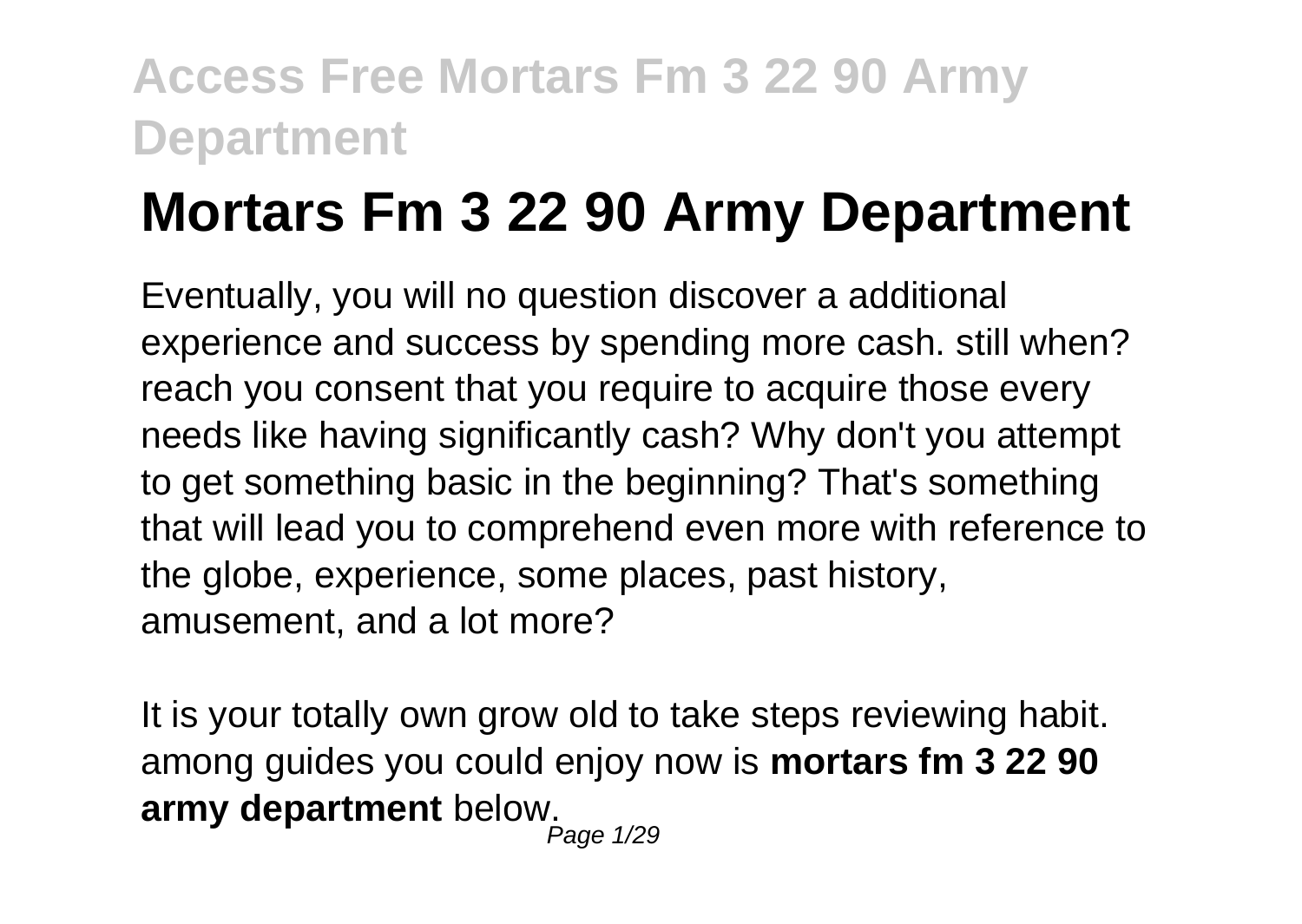# **Mortars Fm 3 22 90 Army Department**

Eventually, you will no question discover a additional experience and success by spending more cash. still when? reach you consent that you require to acquire those every needs like having significantly cash? Why don't you attempt to get something basic in the beginning? That's something that will lead you to comprehend even more with reference to the globe, experience, some places, past history, amusement, and a lot more?

It is your totally own grow old to take steps reviewing habit. among guides you could enjoy now is **mortars fm 3 22 90 army department** below. Page 1/29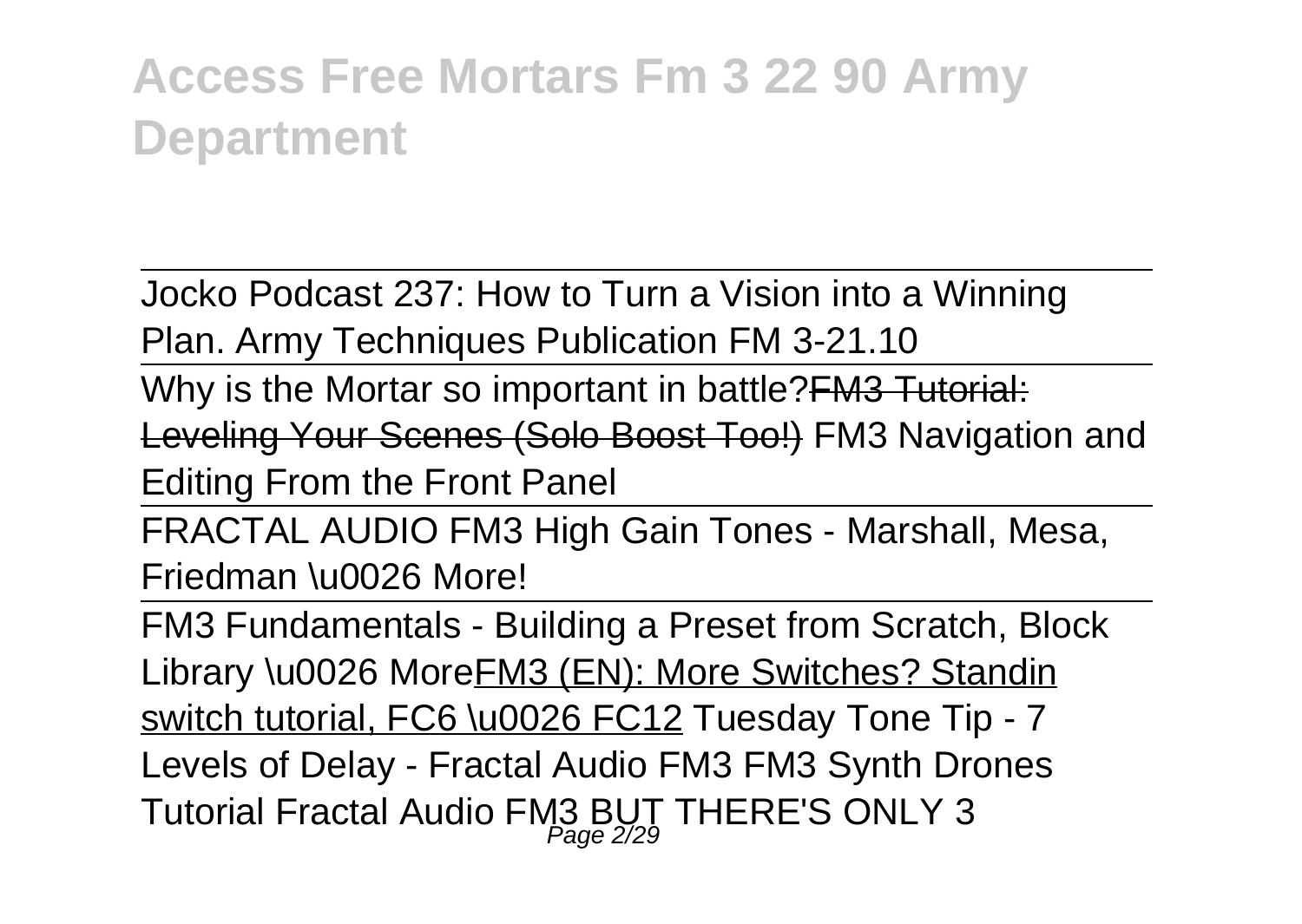Jocko Podcast 237: How to Turn a Vision into a Winning Plan. Army Techniques Publication FM 3-21.10

Why is the Mortar so important in battle? **FM3 Tutorial:** 

Leveling Your Scenes (Solo Boost Too!) FM3 Navigation and Editing From the Front Panel

FRACTAL AUDIO FM3 High Gain Tones - Marshall, Mesa, Friedman \u0026 More!

FM3 Fundamentals - Building a Preset from Scratch, Block Library \u0026 MoreFM3 (EN): More Switches? Standin switch tutorial, FC6 \u0026 FC12 Tuesday Tone Tip - 7 Levels of Delay - Fractal Audio FM3 FM3 Synth Drones Tutorial Fractal Audio FM3 BUT THERE'S ONLY 3 Page 2/29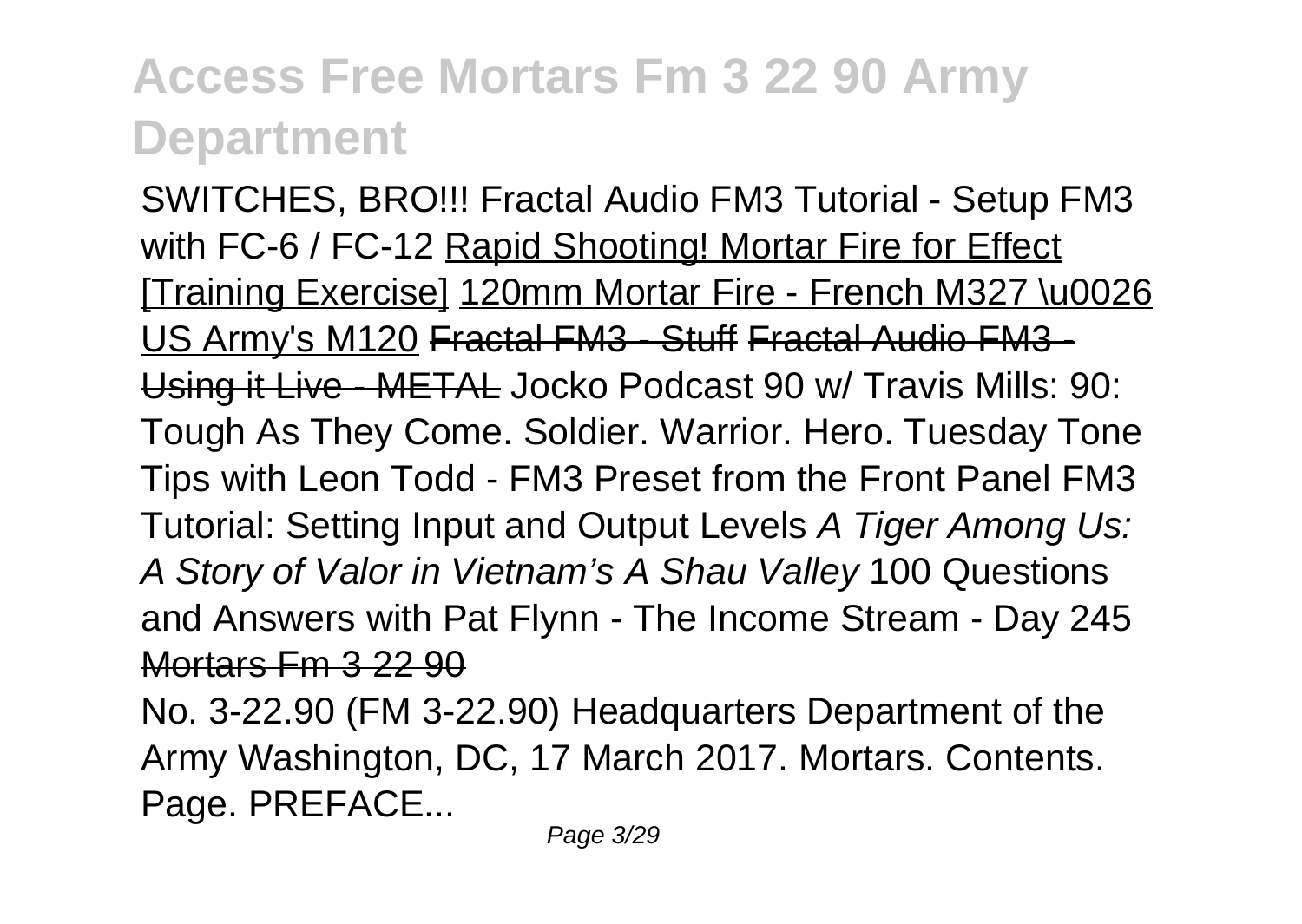SWITCHES, BRO!!! Fractal Audio FM3 Tutorial - Setup FM3 with FC-6 / FC-12 Rapid Shooting! Mortar Fire for Effect [Training Exercise] 120mm Mortar Fire - French M327 \u0026 US Army's M120 Fractal FM3 - Stuff Fractal Audio FM3 - Using it Live - METAL Jocko Podcast 90 w/ Travis Mills: 90: Tough As They Come. Soldier. Warrior. Hero. Tuesday Tone Tips with Leon Todd - FM3 Preset from the Front Panel FM3 Tutorial: Setting Input and Output Levels A Tiger Among Us: A Story of Valor in Vietnam's A Shau Valley 100 Questions and Answers with Pat Flynn - The Income Stream - Day 245 Mortars Fm 3 22 90

No. 3-22.90 (FM 3-22.90) Headquarters Department of the Army Washington, DC, 17 March 2017. Mortars. Contents. Page. PREFACE...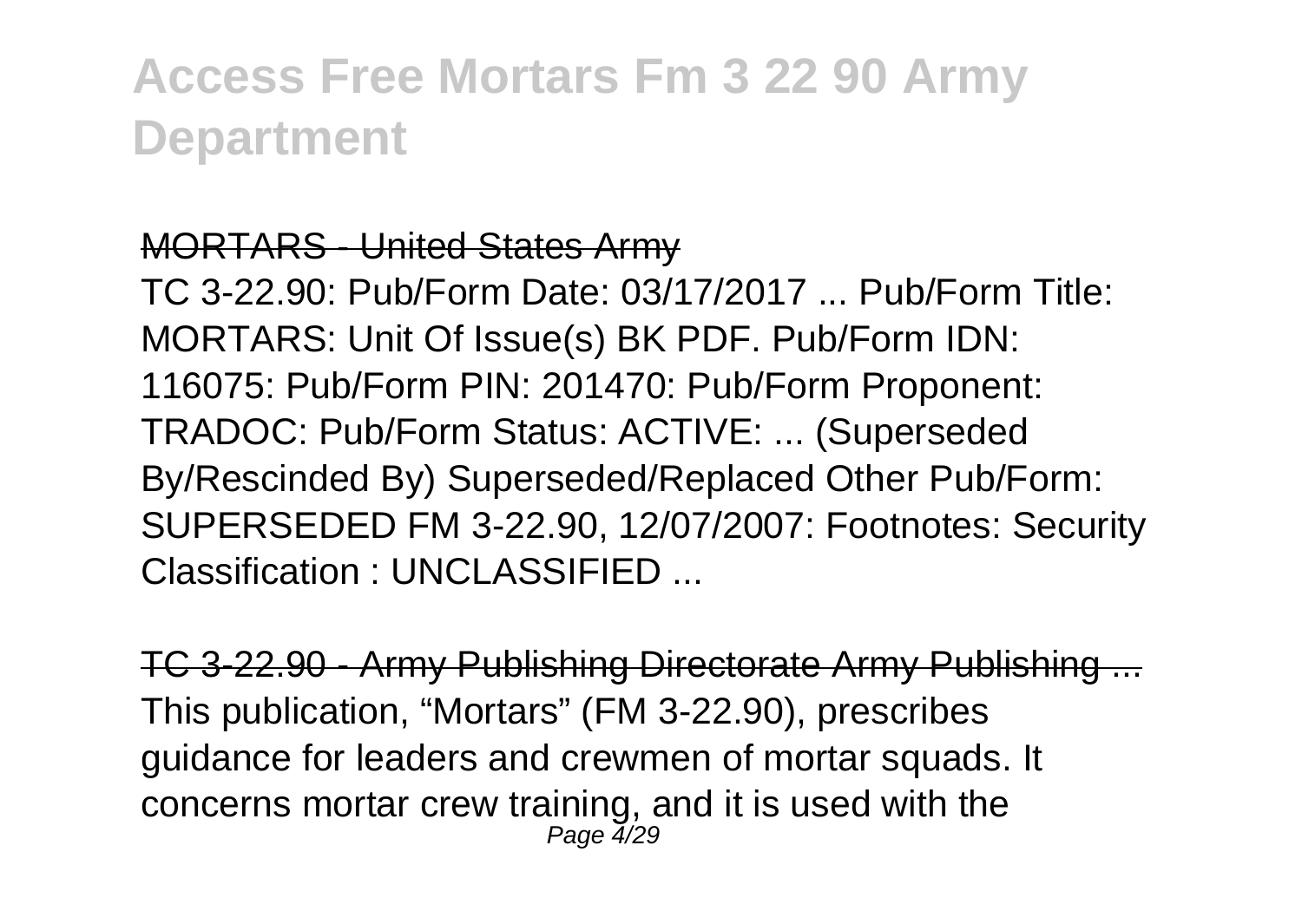#### MORTARS - United States Army

TC 3-22.90: Pub/Form Date: 03/17/2017 ... Pub/Form Title: MORTARS: Unit Of Issue(s) BK PDF. Pub/Form IDN: 116075: Pub/Form PIN: 201470: Pub/Form Proponent: TRADOC: Pub/Form Status: ACTIVE: ... (Superseded By/Rescinded By) Superseded/Replaced Other Pub/Form: SUPERSEDED FM 3-22.90, 12/07/2007: Footnotes: Security Classification : UNCLASSIFIED ...

TC 3-22.90 - Army Publishing Directorate Army Publishing This publication, "Mortars" (FM 3-22.90), prescribes guidance for leaders and crewmen of mortar squads. It concerns mortar crew training, and it is used with the Page 4/29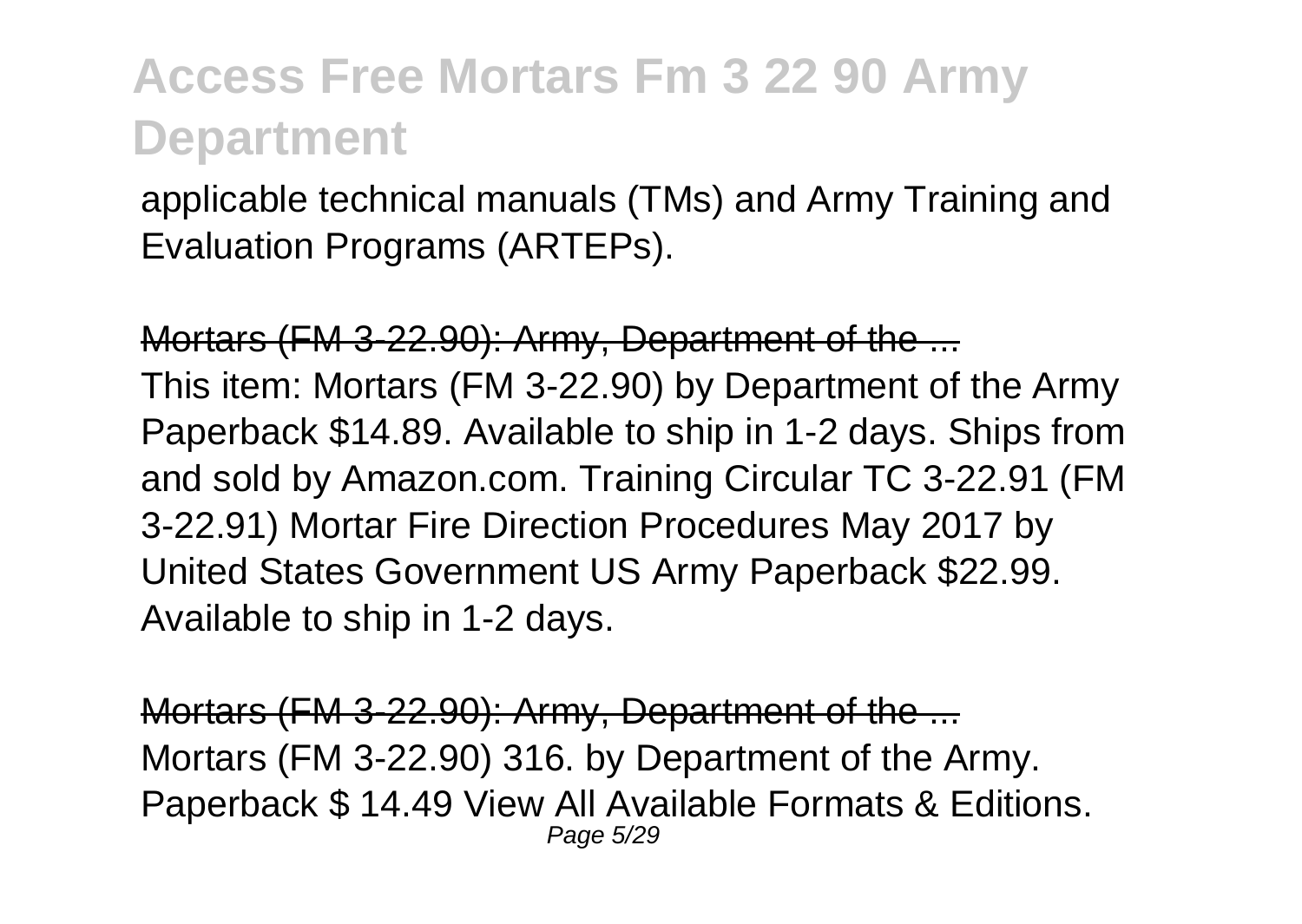applicable technical manuals (TMs) and Army Training and Evaluation Programs (ARTEPs).

Mortars (FM 3-22.90): Army, Department of the ... This item: Mortars (FM 3-22.90) by Department of the Army Paperback \$14.89. Available to ship in 1-2 days. Ships from and sold by Amazon.com. Training Circular TC 3-22.91 (FM 3-22.91) Mortar Fire Direction Procedures May 2017 by United States Government US Army Paperback \$22.99. Available to ship in 1-2 days.

Mortars (FM 3-22.90): Army, Department of the ... Mortars (FM 3-22.90) 316. by Department of the Army. Paperback \$ 14.49 View All Available Formats & Editions. Page 5/29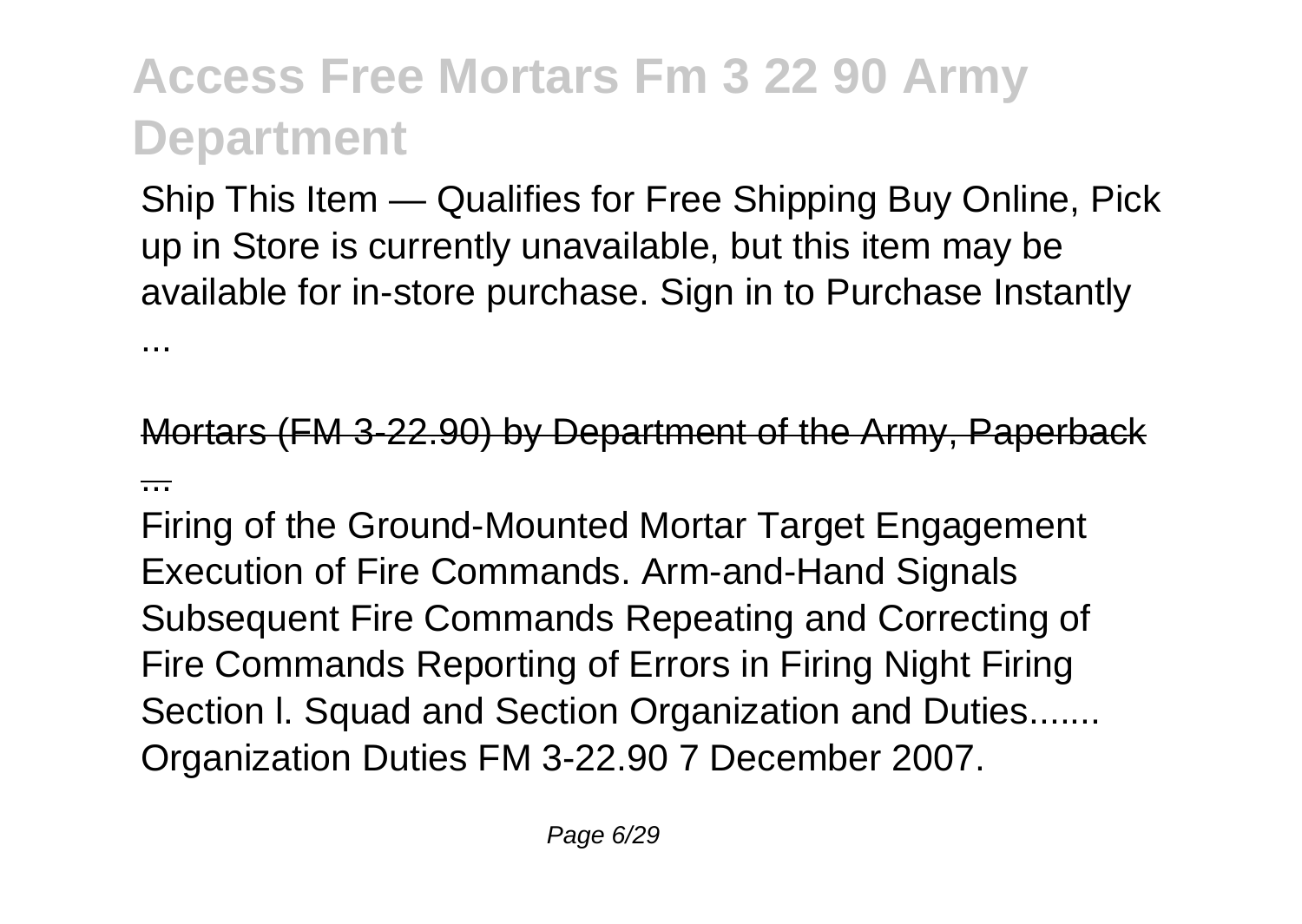...

Ship This Item — Qualifies for Free Shipping Buy Online, Pick up in Store is currently unavailable, but this item may be available for in-store purchase. Sign in to Purchase Instantly

Mortars (FM 3-22.90) by Department of the Army, Paperba ...

Firing of the Ground-Mounted Mortar Target Engagement Execution of Fire Commands. Arm-and-Hand Signals Subsequent Fire Commands Repeating and Correcting of Fire Commands Reporting of Errors in Firing Night Firing Section I. Squad and Section Organization and Duties....... Organization Duties FM 3-22.90 7 December 2007.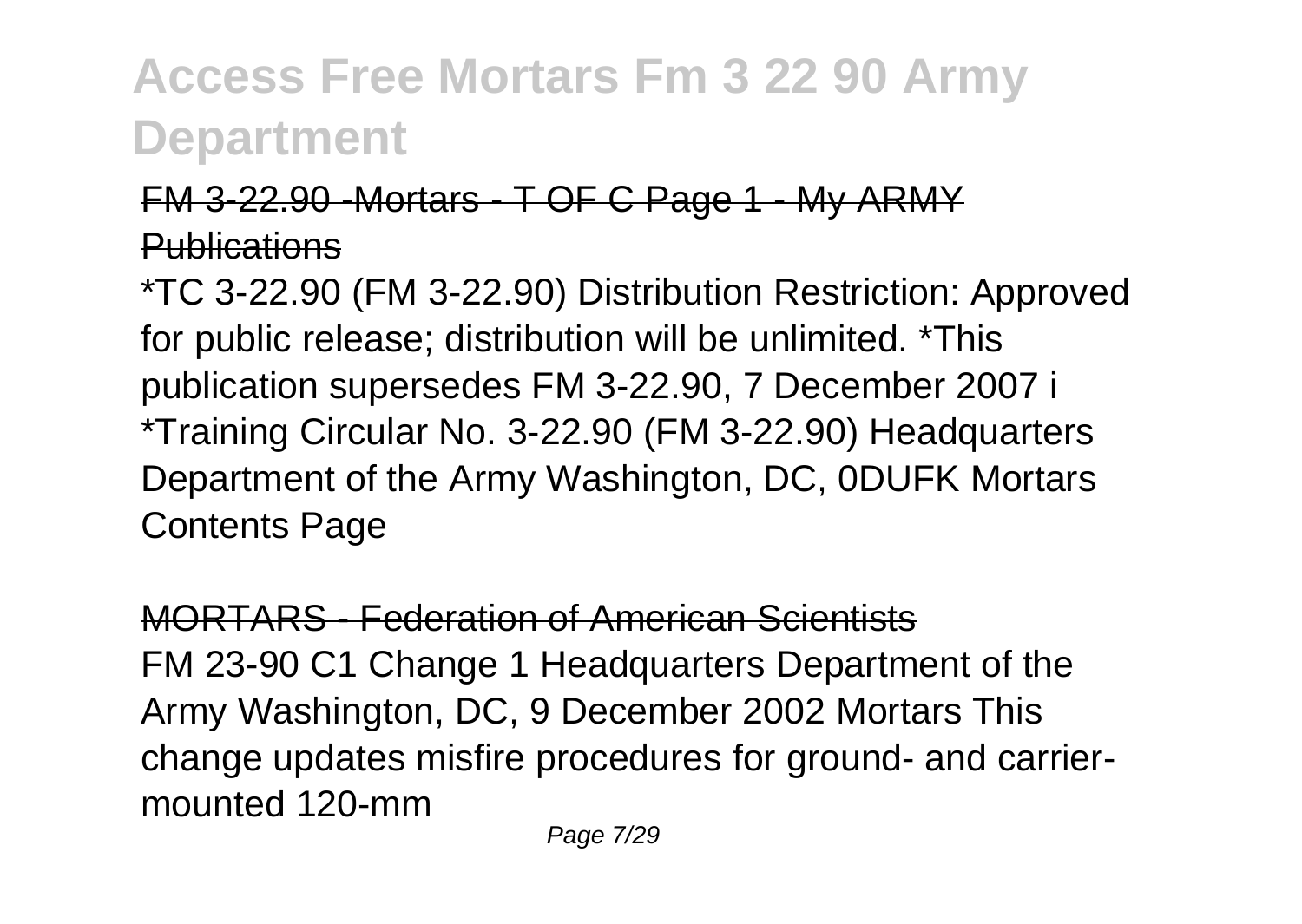#### FM 3-22.90 -Mortars - T OF C Page 1 - My ARMY **Publications**

\*TC 3-22.90 (FM 3-22.90) Distribution Restriction: Approved for public release; distribution will be unlimited. \*This publication supersedes FM 3-22.90, 7 December 2007 i \*Training Circular No. 3-22.90 (FM 3-22.90) Headquarters Department of the Army Washington, DC, 0DUFK Mortars Contents Page

MORTARS - Federation of American Scientists FM 23-90 C1 Change 1 Headquarters Department of the Army Washington, DC, 9 December 2002 Mortars This change updates misfire procedures for ground- and carriermounted 120-mm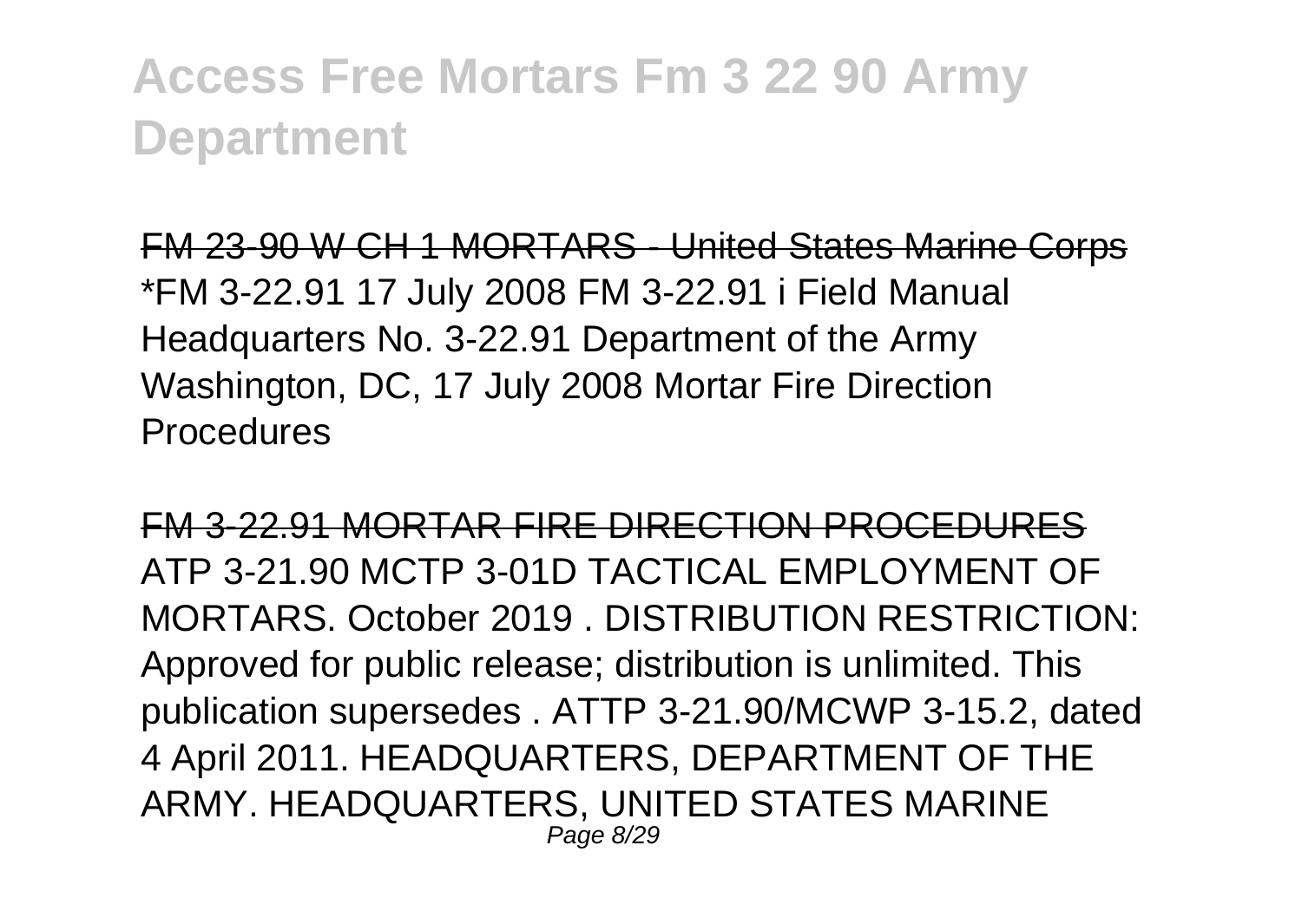FM 23-90 W CH 1 MORTARS - United States Marine Corps \*FM 3-22.91 17 July 2008 FM 3-22.91 i Field Manual Headquarters No. 3-22.91 Department of the Army Washington, DC, 17 July 2008 Mortar Fire Direction **Procedures** 

FM 3-22.91 MORTAR FIRE DIRECTION PROCEDURES ATP 3-21.90 MCTP 3-01D TACTICAL EMPLOYMENT OF MORTARS. October 2019 . DISTRIBUTION RESTRICTION: Approved for public release; distribution is unlimited. This publication supersedes . ATTP 3-21.90/MCWP 3-15.2, dated 4 April 2011. HEADQUARTERS, DEPARTMENT OF THE ARMY. HEADQUARTERS, UNITED STATES MARINE Page 8/29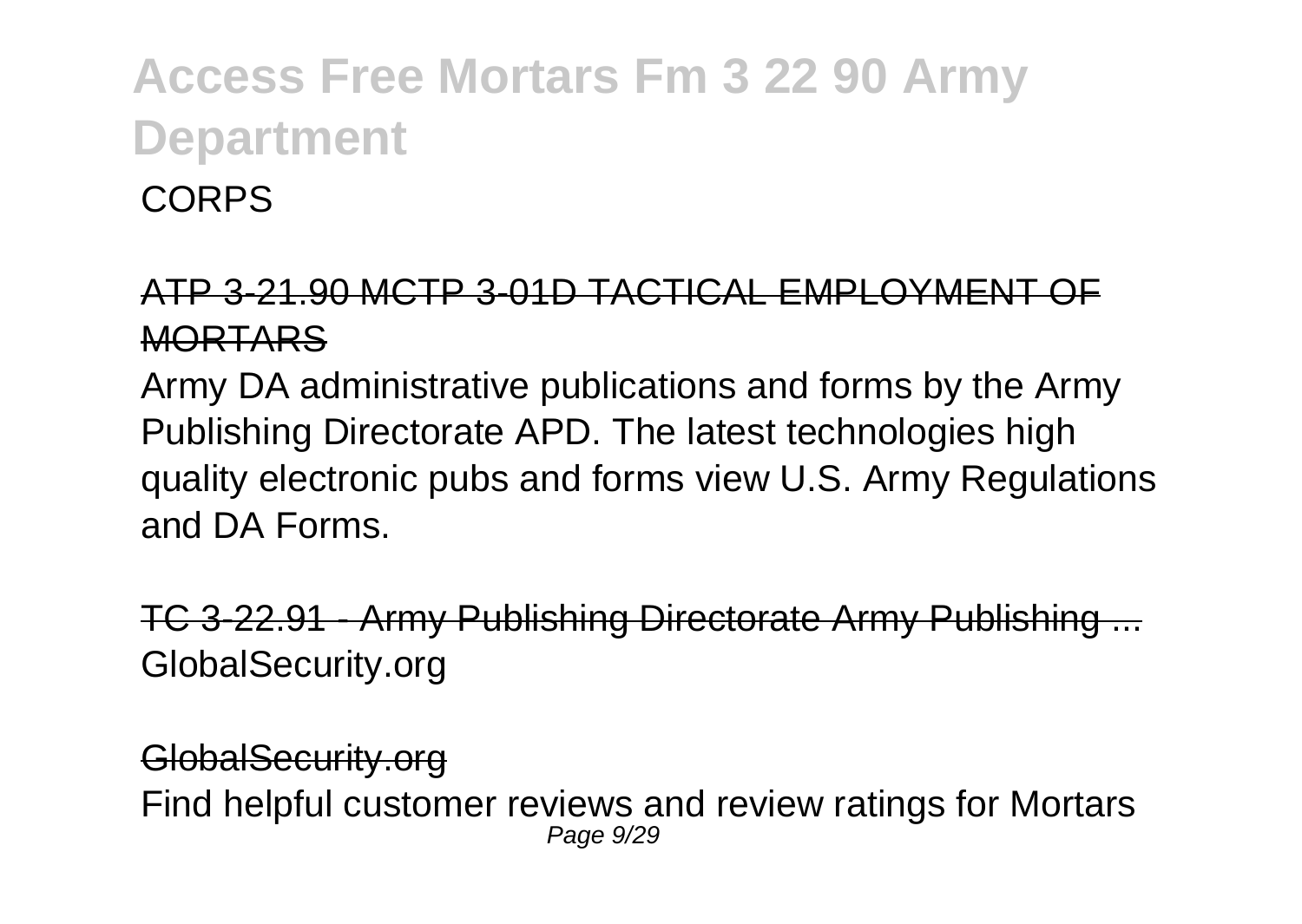**CORPS** 

#### ATP 3-21.90 MCTP 3-01D TACTICAL EMPLOYMENT OF **MORTARS**

Army DA administrative publications and forms by the Army Publishing Directorate APD. The latest technologies high quality electronic pubs and forms view U.S. Army Regulations and DA Forms.

TC 3-22.91 - Army Publishing Directorate Army Publishing GlobalSecurity.org

GlobalSecurity.org Find helpful customer reviews and review ratings for Mortars Page 9/29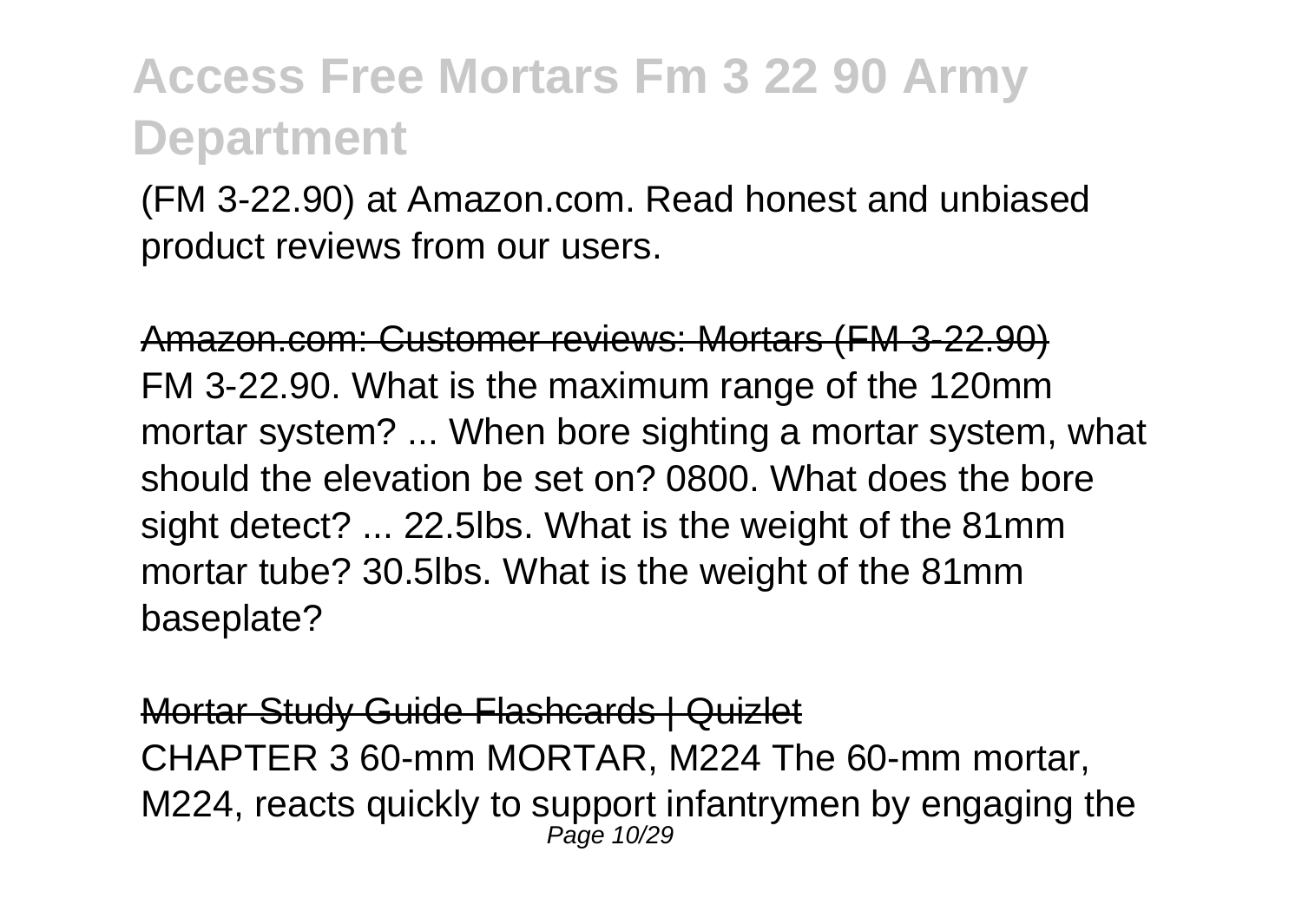(FM 3-22.90) at Amazon.com. Read honest and unbiased product reviews from our users.

Amazon.com: Customer reviews: Mortars (FM 3-22.90) FM 3-22.90. What is the maximum range of the 120mm mortar system? ... When bore sighting a mortar system, what should the elevation be set on? 0800. What does the bore sight detect? ... 22.5lbs. What is the weight of the 81mm mortar tube? 30.5lbs. What is the weight of the 81mm baseplate?

Mortar Study Guide Flashcards | Quizlet CHAPTER 3 60-mm MORTAR, M224 The 60-mm mortar, M224, reacts quickly to support infantrymen by engaging the Page 10/29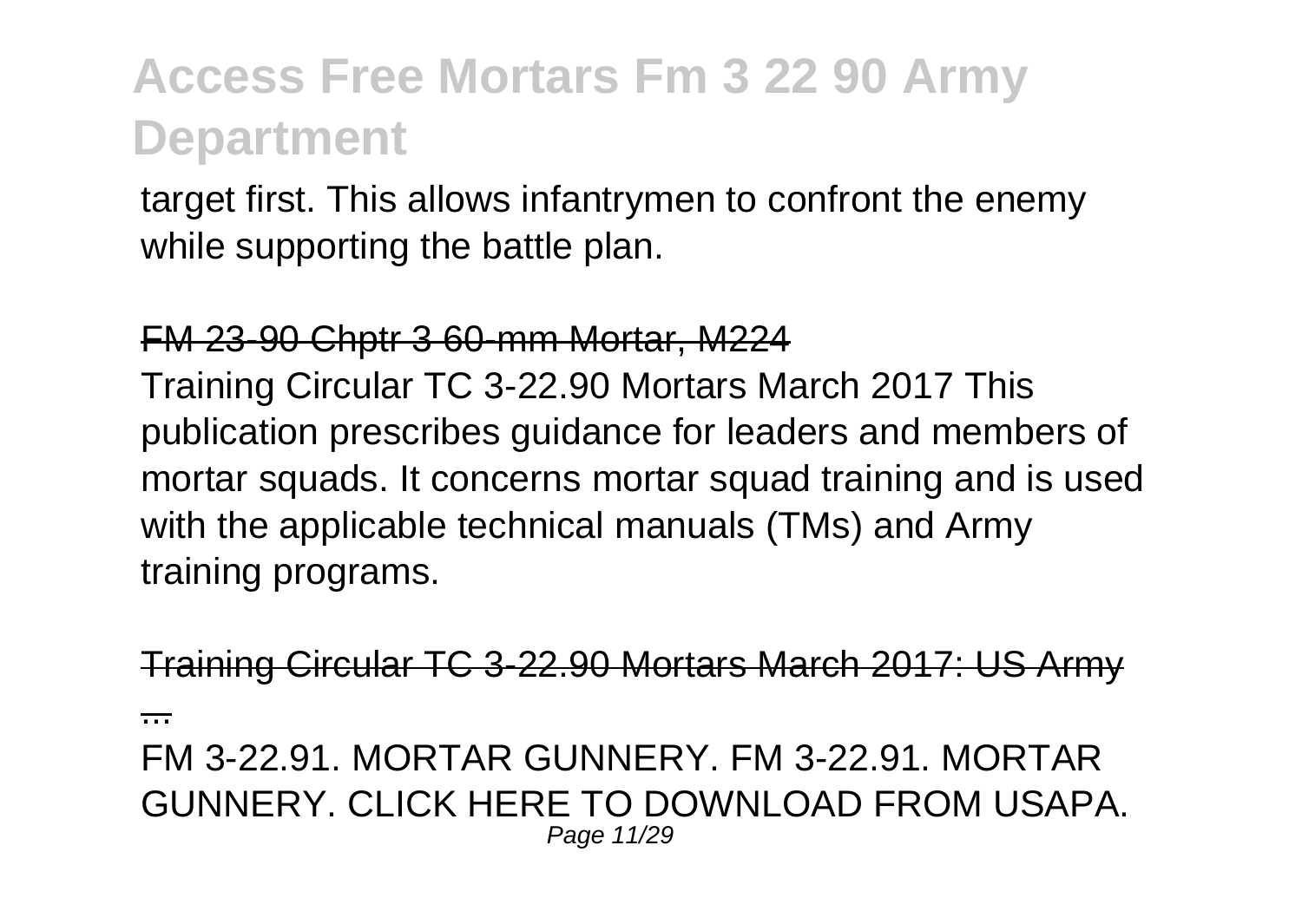target first. This allows infantrymen to confront the enemy while supporting the battle plan.

#### FM 23-90 Chptr 3 60-mm Mortar, M224

Training Circular TC 3-22.90 Mortars March 2017 This publication prescribes guidance for leaders and members of mortar squads. It concerns mortar squad training and is used with the applicable technical manuals (TMs) and Army training programs.

aining Circular TC 3-22.90 Mortars March 2017: US Army

...

FM 3-22.91. MORTAR GUNNERY. FM 3-22.91. MORTAR GUNNERY. CLICK HERE TO DOWNLOAD FROM USAPA. Page 11/29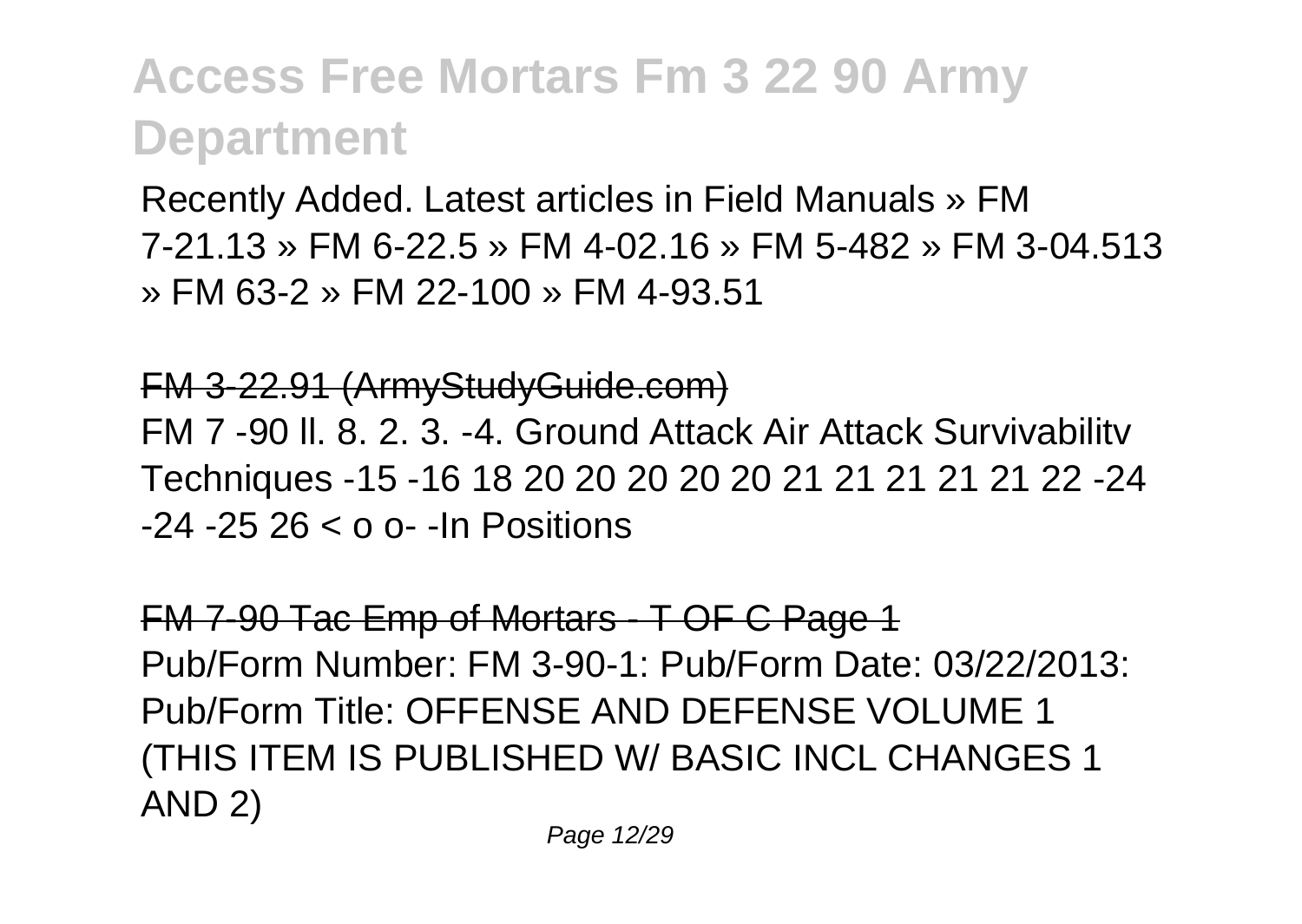Recently Added. Latest articles in Field Manuals » FM 7-21.13 » FM 6-22.5 » FM 4-02.16 » FM 5-482 » FM 3-04.513 » FM 63-2 » FM 22-100 » FM 4-93.51

#### FM 3-22.91 (ArmyStudyGuide.com)

FM 7 -90 ll. 8. 2. 3. -4. Ground Attack Air Attack Survivabilitv Techniques -15 -16 18 20 20 20 20 20 21 21 21 21 21 22 -24 -24 -25 26 < o o- -In Positions

FM 7-90 Tac Emp of Mortars - T OF C Page 1 Pub/Form Number: FM 3-90-1: Pub/Form Date: 03/22/2013: Pub/Form Title: OFFENSE AND DEFENSE VOLUME 1 (THIS ITEM IS PUBLISHED W/ BASIC INCL CHANGES 1 AND 2)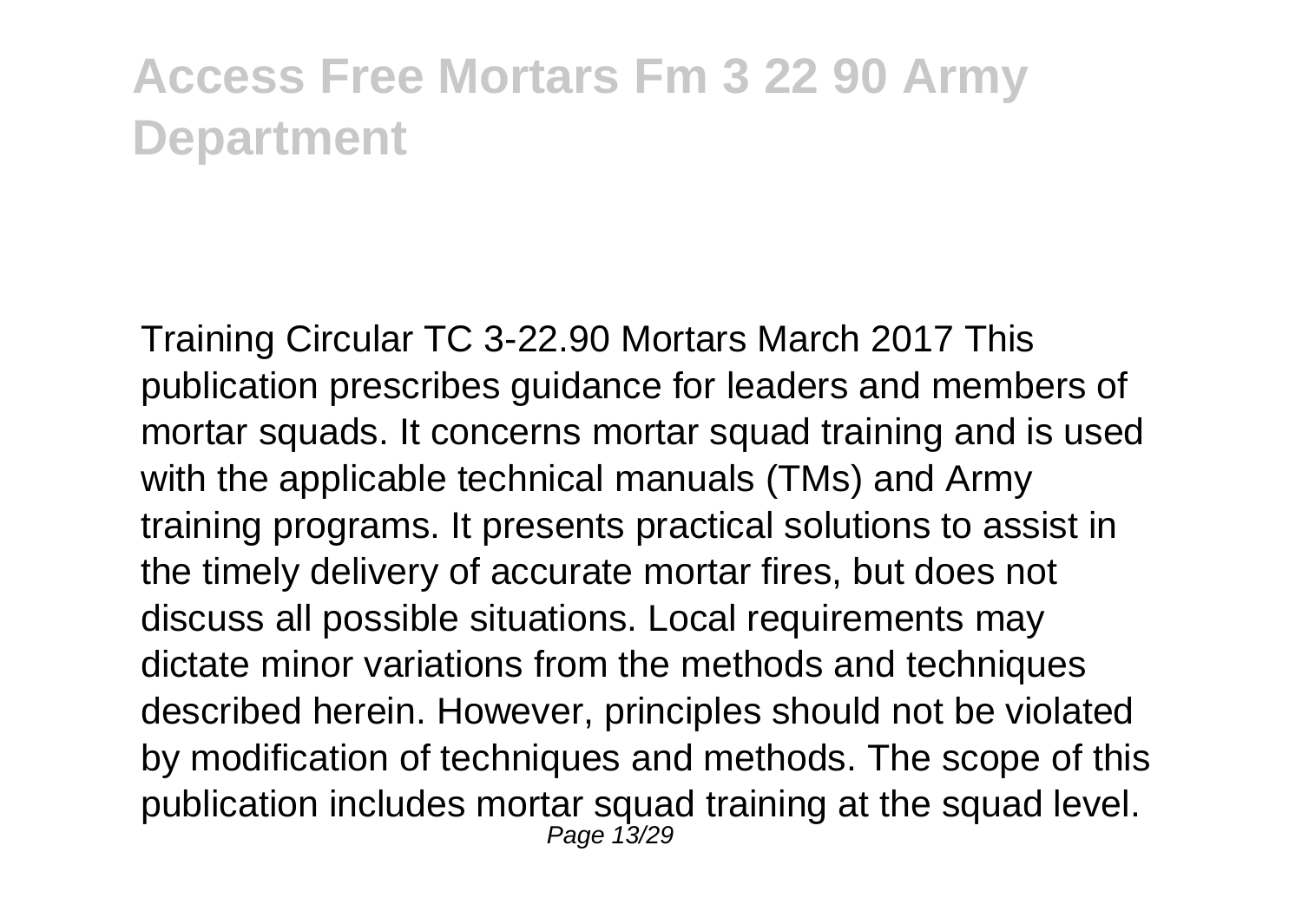Training Circular TC 3-22.90 Mortars March 2017 This publication prescribes guidance for leaders and members of mortar squads. It concerns mortar squad training and is used with the applicable technical manuals (TMs) and Army training programs. It presents practical solutions to assist in the timely delivery of accurate mortar fires, but does not discuss all possible situations. Local requirements may dictate minor variations from the methods and techniques described herein. However, principles should not be violated by modification of techniques and methods. The scope of this publication includes mortar squad training at the squad level. Page 13/29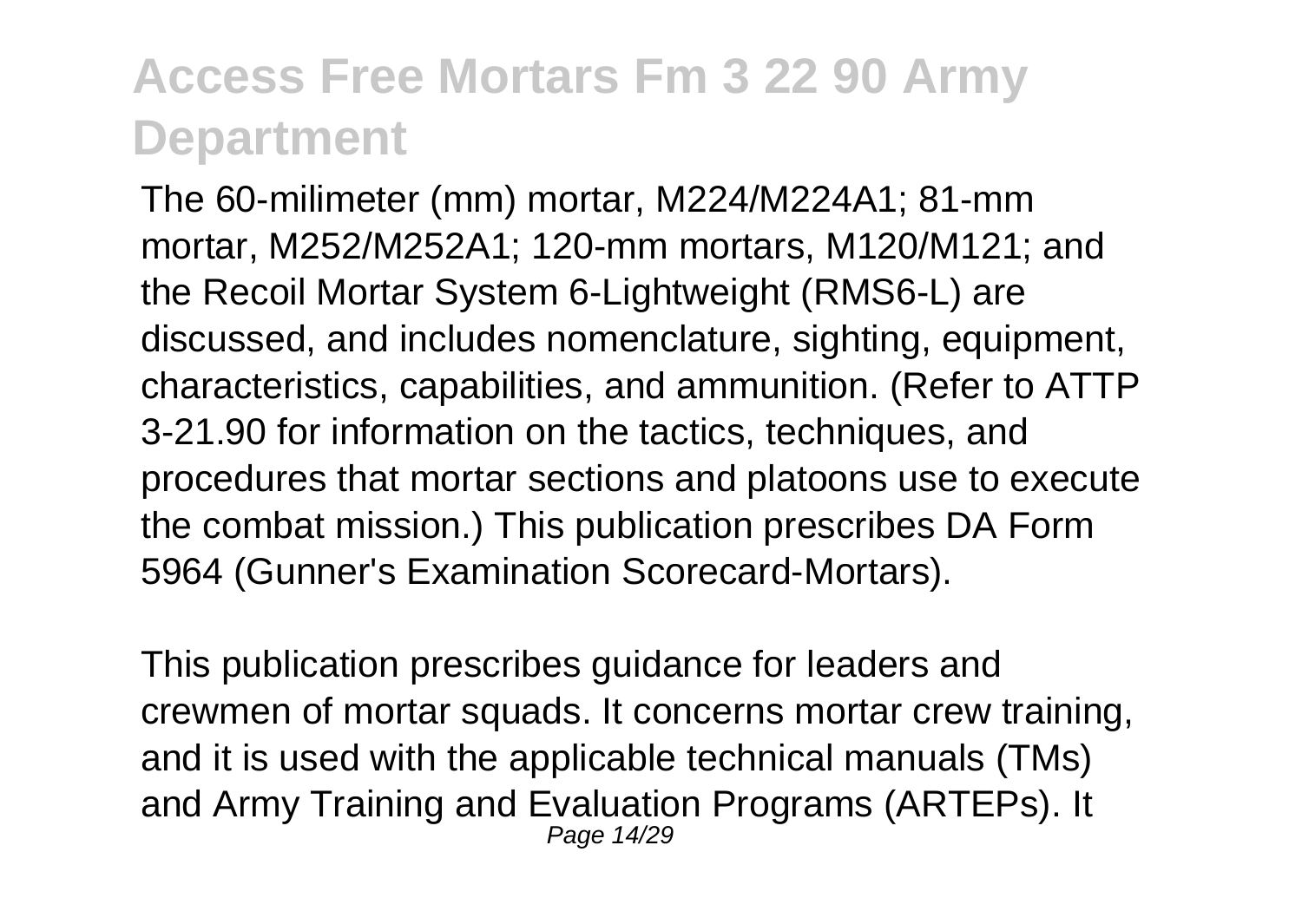The 60-milimeter (mm) mortar, M224/M224A1; 81-mm mortar, M252/M252A1; 120-mm mortars, M120/M121; and the Recoil Mortar System 6-Lightweight (RMS6-L) are discussed, and includes nomenclature, sighting, equipment, characteristics, capabilities, and ammunition. (Refer to ATTP 3-21.90 for information on the tactics, techniques, and procedures that mortar sections and platoons use to execute the combat mission.) This publication prescribes DA Form 5964 (Gunner's Examination Scorecard-Mortars).

This publication prescribes guidance for leaders and crewmen of mortar squads. It concerns mortar crew training, and it is used with the applicable technical manuals (TMs) and Army Training and Evaluation Programs (ARTEPs). It Page 14/29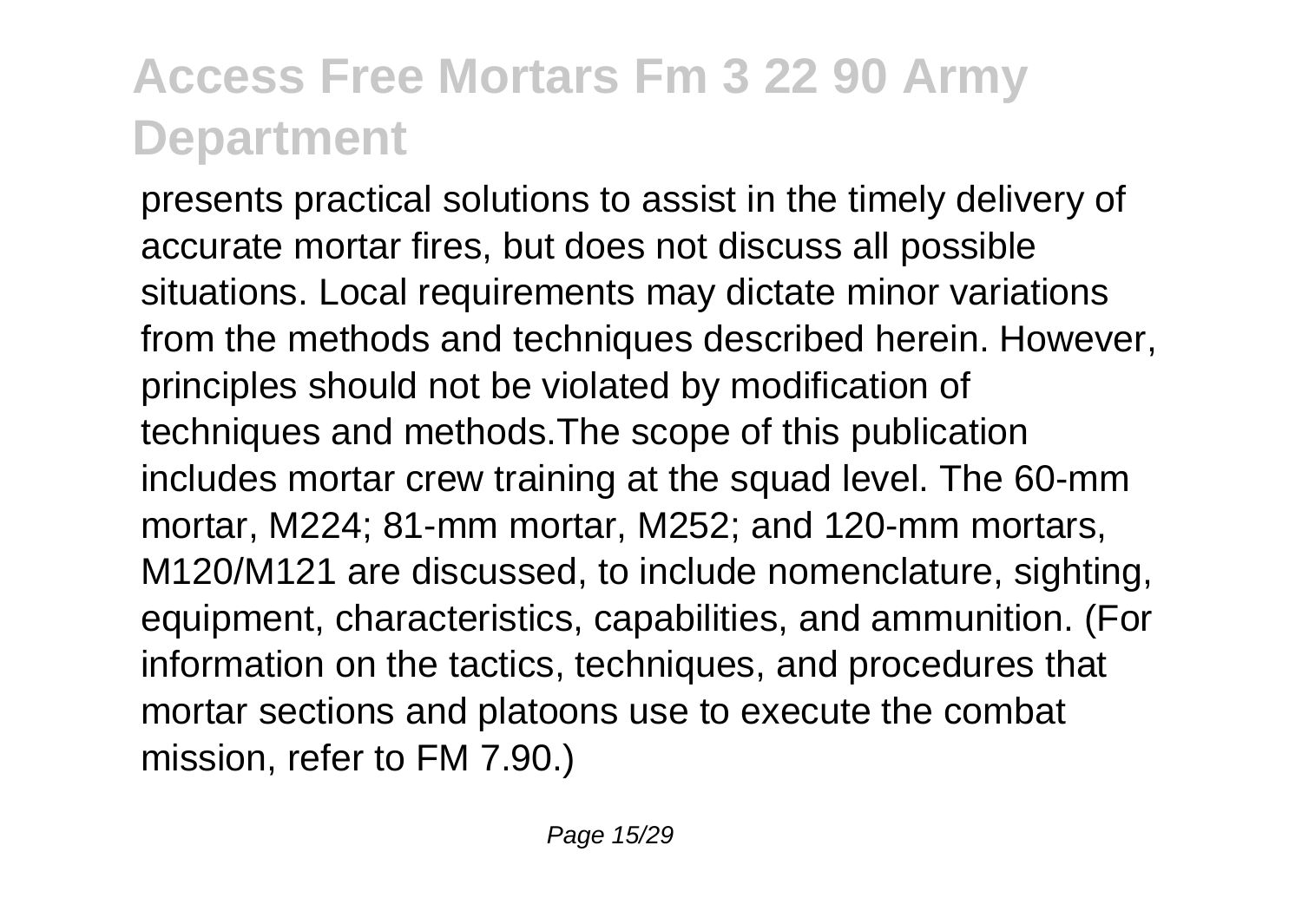presents practical solutions to assist in the timely delivery of accurate mortar fires, but does not discuss all possible situations. Local requirements may dictate minor variations from the methods and techniques described herein. However, principles should not be violated by modification of techniques and methods.The scope of this publication includes mortar crew training at the squad level. The 60-mm mortar, M224; 81-mm mortar, M252; and 120-mm mortars, M120/M121 are discussed, to include nomenclature, sighting, equipment, characteristics, capabilities, and ammunition. (For information on the tactics, techniques, and procedures that mortar sections and platoons use to execute the combat mission, refer to FM 7.90.)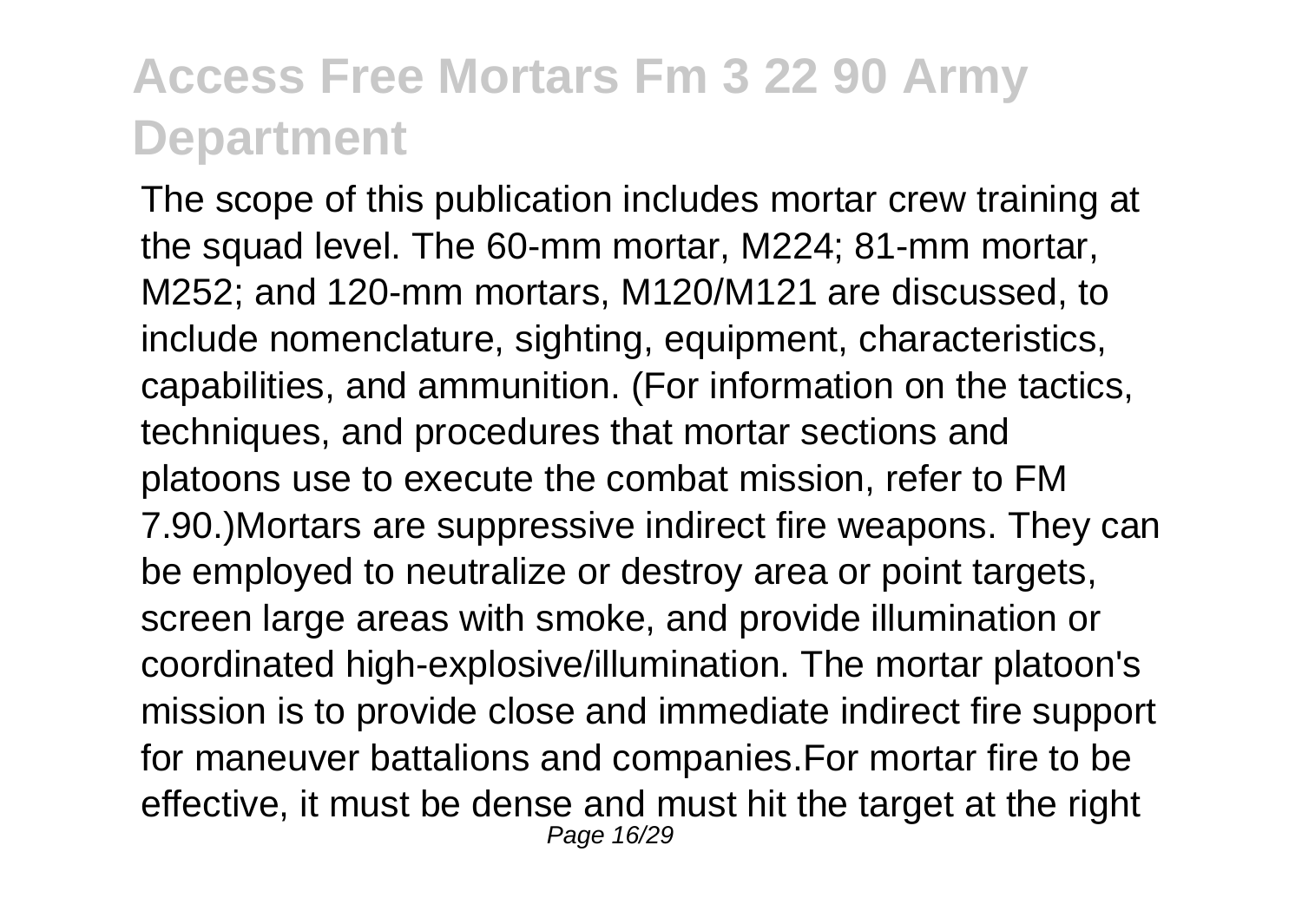The scope of this publication includes mortar crew training at the squad level. The 60-mm mortar, M224; 81-mm mortar, M252; and 120-mm mortars, M120/M121 are discussed, to include nomenclature, sighting, equipment, characteristics, capabilities, and ammunition. (For information on the tactics, techniques, and procedures that mortar sections and platoons use to execute the combat mission, refer to FM 7.90.)Mortars are suppressive indirect fire weapons. They can be employed to neutralize or destroy area or point targets, screen large areas with smoke, and provide illumination or coordinated high-explosive/illumination. The mortar platoon's mission is to provide close and immediate indirect fire support for maneuver battalions and companies.For mortar fire to be effective, it must be dense and must hit the target at the right Page 16/29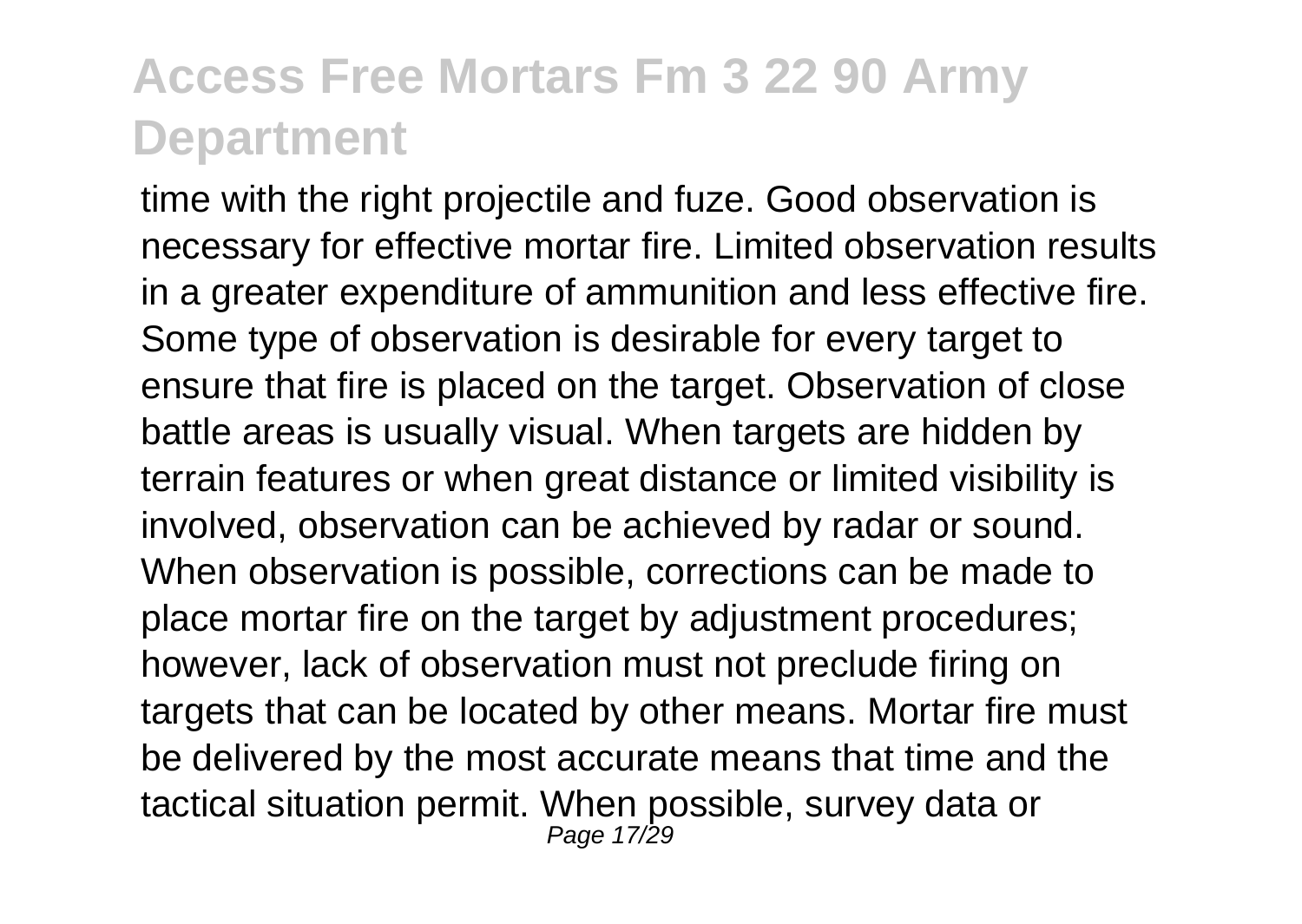time with the right projectile and fuze. Good observation is necessary for effective mortar fire. Limited observation results in a greater expenditure of ammunition and less effective fire. Some type of observation is desirable for every target to ensure that fire is placed on the target. Observation of close battle areas is usually visual. When targets are hidden by terrain features or when great distance or limited visibility is involved, observation can be achieved by radar or sound. When observation is possible, corrections can be made to place mortar fire on the target by adjustment procedures; however, lack of observation must not preclude firing on targets that can be located by other means. Mortar fire must be delivered by the most accurate means that time and the tactical situation permit. When possible, survey data or Page 17/29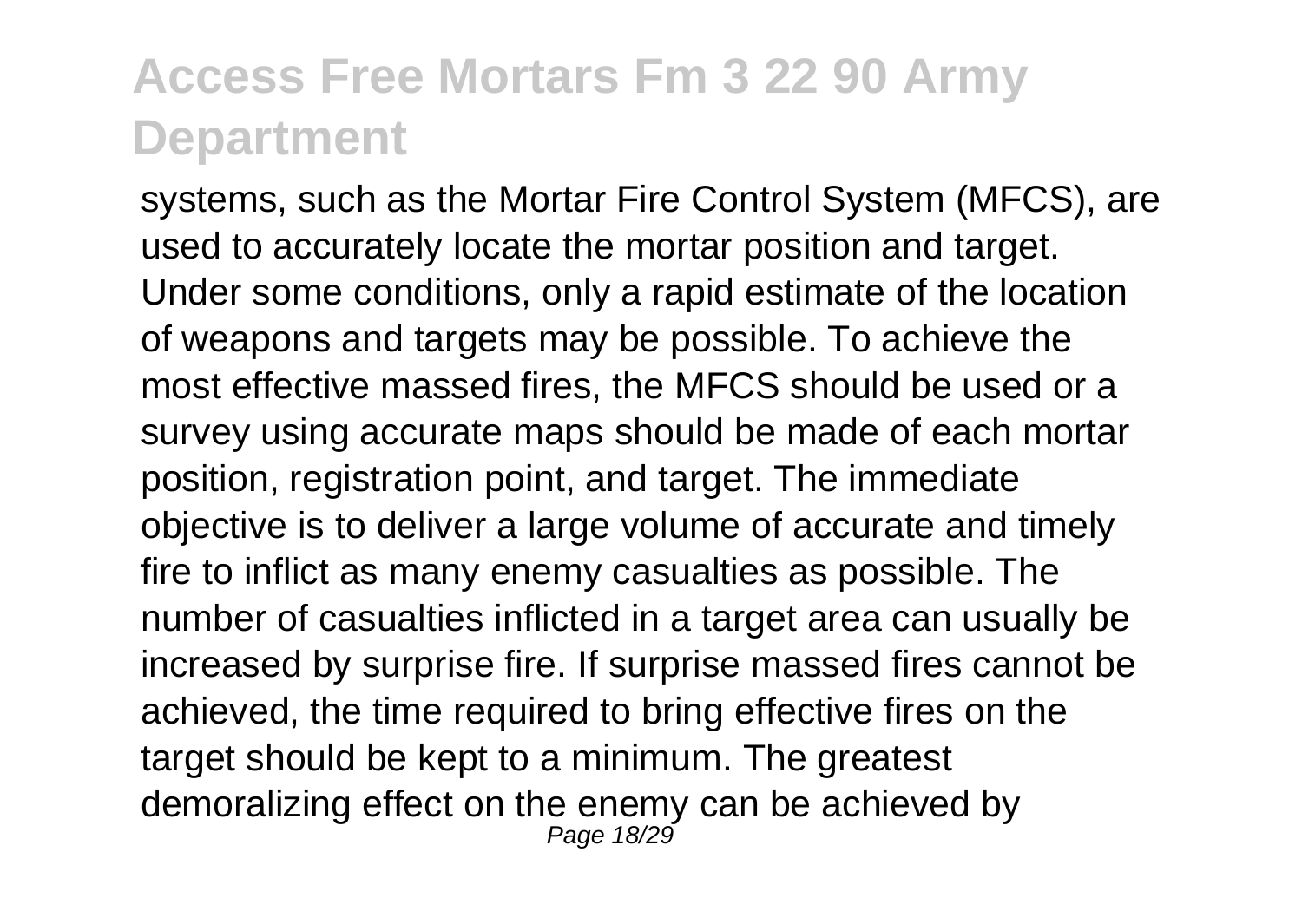systems, such as the Mortar Fire Control System (MFCS), are used to accurately locate the mortar position and target. Under some conditions, only a rapid estimate of the location of weapons and targets may be possible. To achieve the most effective massed fires, the MFCS should be used or a survey using accurate maps should be made of each mortar position, registration point, and target. The immediate objective is to deliver a large volume of accurate and timely fire to inflict as many enemy casualties as possible. The number of casualties inflicted in a target area can usually be increased by surprise fire. If surprise massed fires cannot be achieved, the time required to bring effective fires on the target should be kept to a minimum. The greatest demoralizing effect on the enemy can be achieved by Page 18/29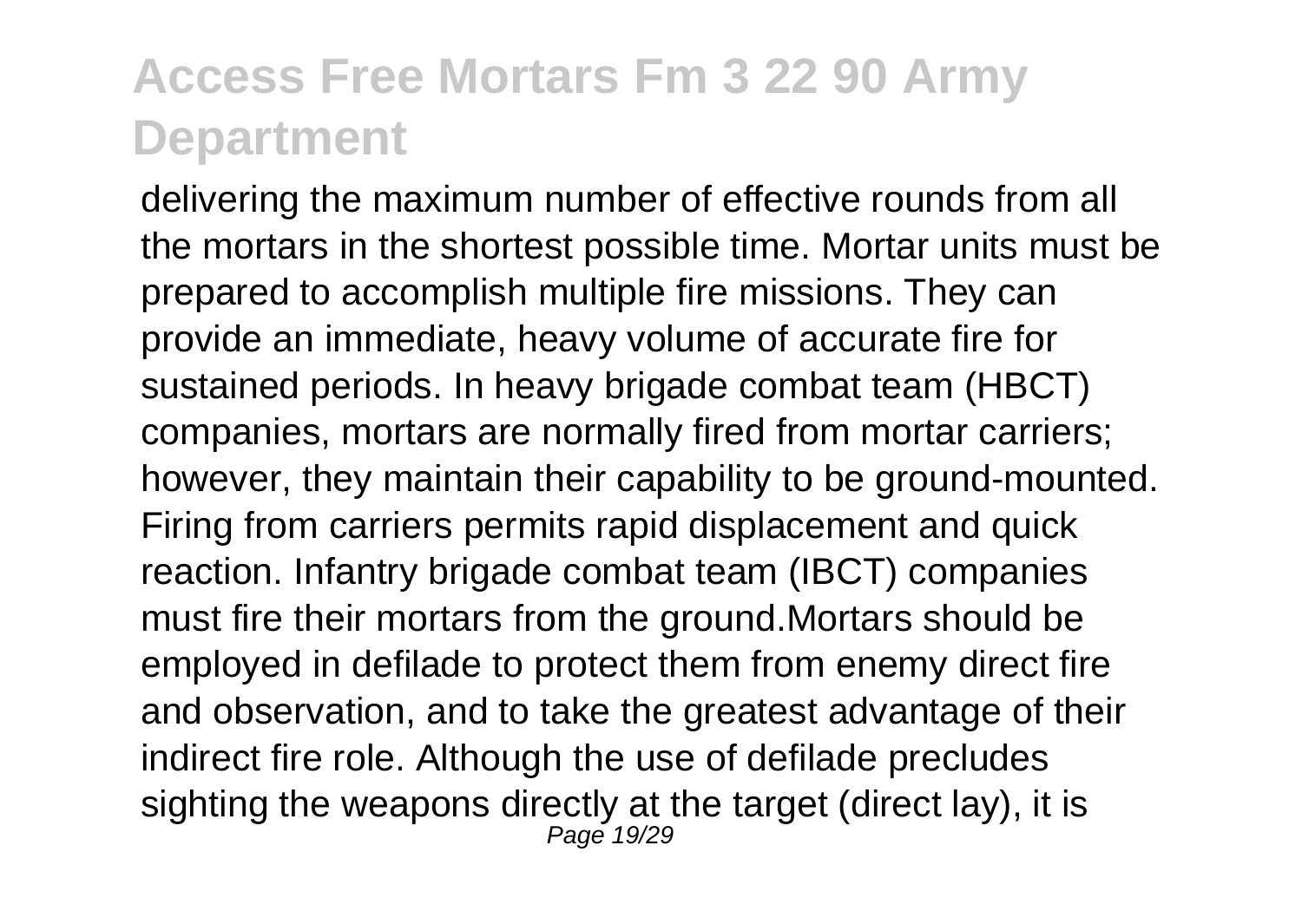delivering the maximum number of effective rounds from all the mortars in the shortest possible time. Mortar units must be prepared to accomplish multiple fire missions. They can provide an immediate, heavy volume of accurate fire for sustained periods. In heavy brigade combat team (HBCT) companies, mortars are normally fired from mortar carriers; however, they maintain their capability to be ground-mounted. Firing from carriers permits rapid displacement and quick reaction. Infantry brigade combat team (IBCT) companies must fire their mortars from the ground.Mortars should be employed in defilade to protect them from enemy direct fire and observation, and to take the greatest advantage of their indirect fire role. Although the use of defilade precludes sighting the weapons directly at the target (direct lay), it is Page 19/29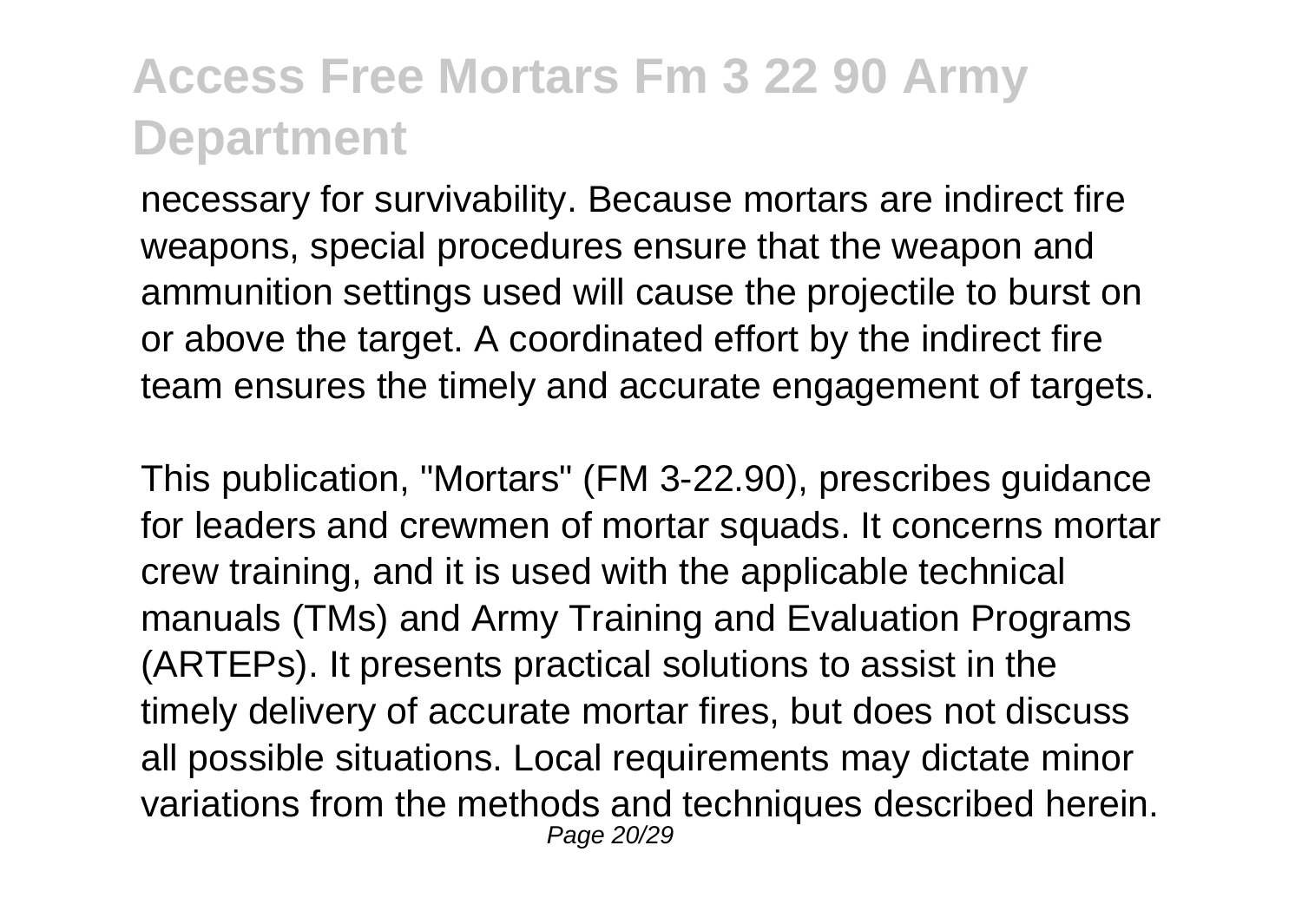necessary for survivability. Because mortars are indirect fire weapons, special procedures ensure that the weapon and ammunition settings used will cause the projectile to burst on or above the target. A coordinated effort by the indirect fire team ensures the timely and accurate engagement of targets.

This publication, "Mortars" (FM 3-22.90), prescribes guidance for leaders and crewmen of mortar squads. It concerns mortar crew training, and it is used with the applicable technical manuals (TMs) and Army Training and Evaluation Programs (ARTEPs). It presents practical solutions to assist in the timely delivery of accurate mortar fires, but does not discuss all possible situations. Local requirements may dictate minor variations from the methods and techniques described herein. Page 20/29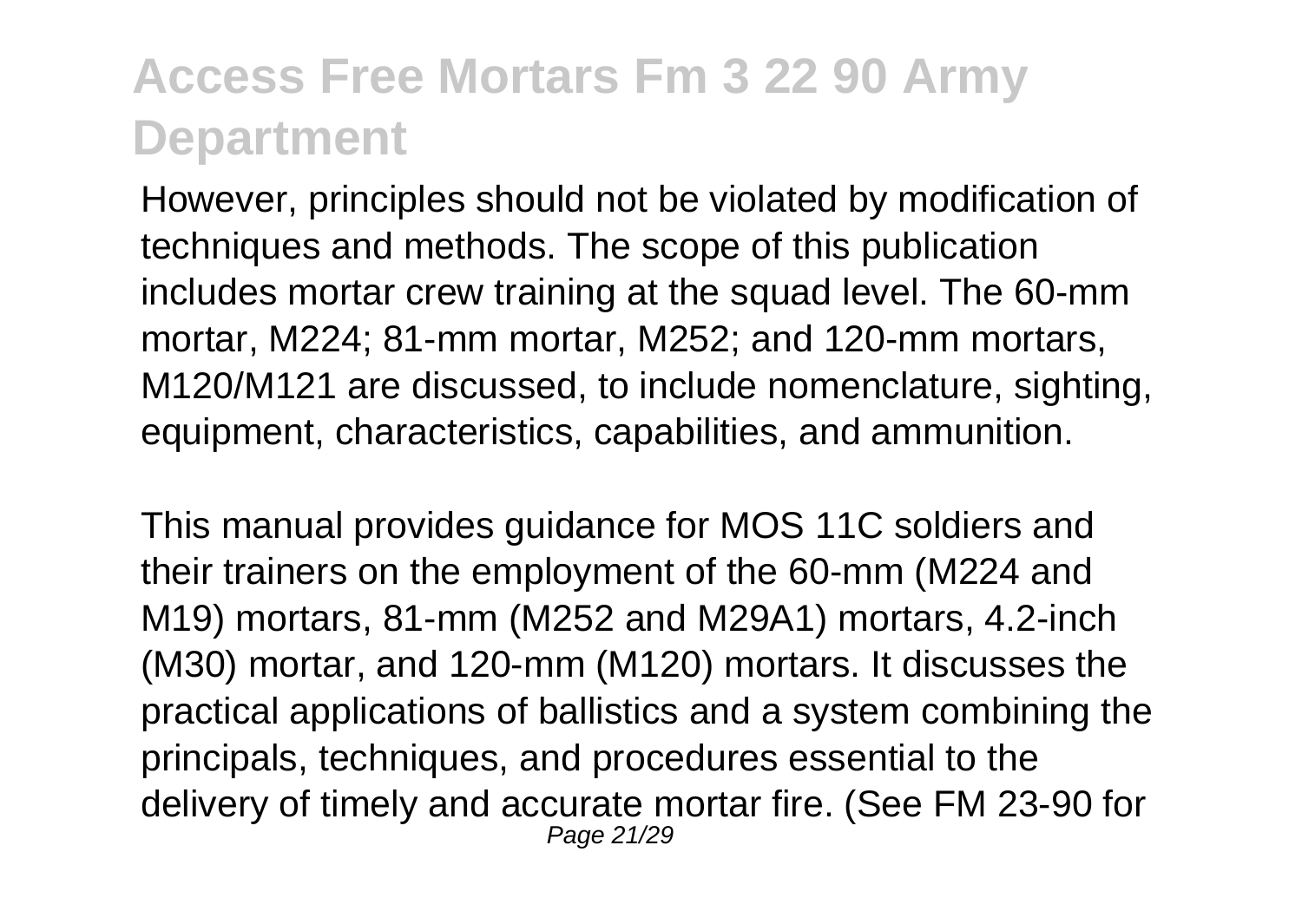However, principles should not be violated by modification of techniques and methods. The scope of this publication includes mortar crew training at the squad level. The 60-mm mortar, M224; 81-mm mortar, M252; and 120-mm mortars, M120/M121 are discussed, to include nomenclature, sighting, equipment, characteristics, capabilities, and ammunition.

This manual provides guidance for MOS 11C soldiers and their trainers on the employment of the 60-mm (M224 and M19) mortars, 81-mm (M252 and M29A1) mortars, 4.2-inch (M30) mortar, and 120-mm (M120) mortars. It discusses the practical applications of ballistics and a system combining the principals, techniques, and procedures essential to the delivery of timely and accurate mortar fire. (See FM 23-90 for Page 21/29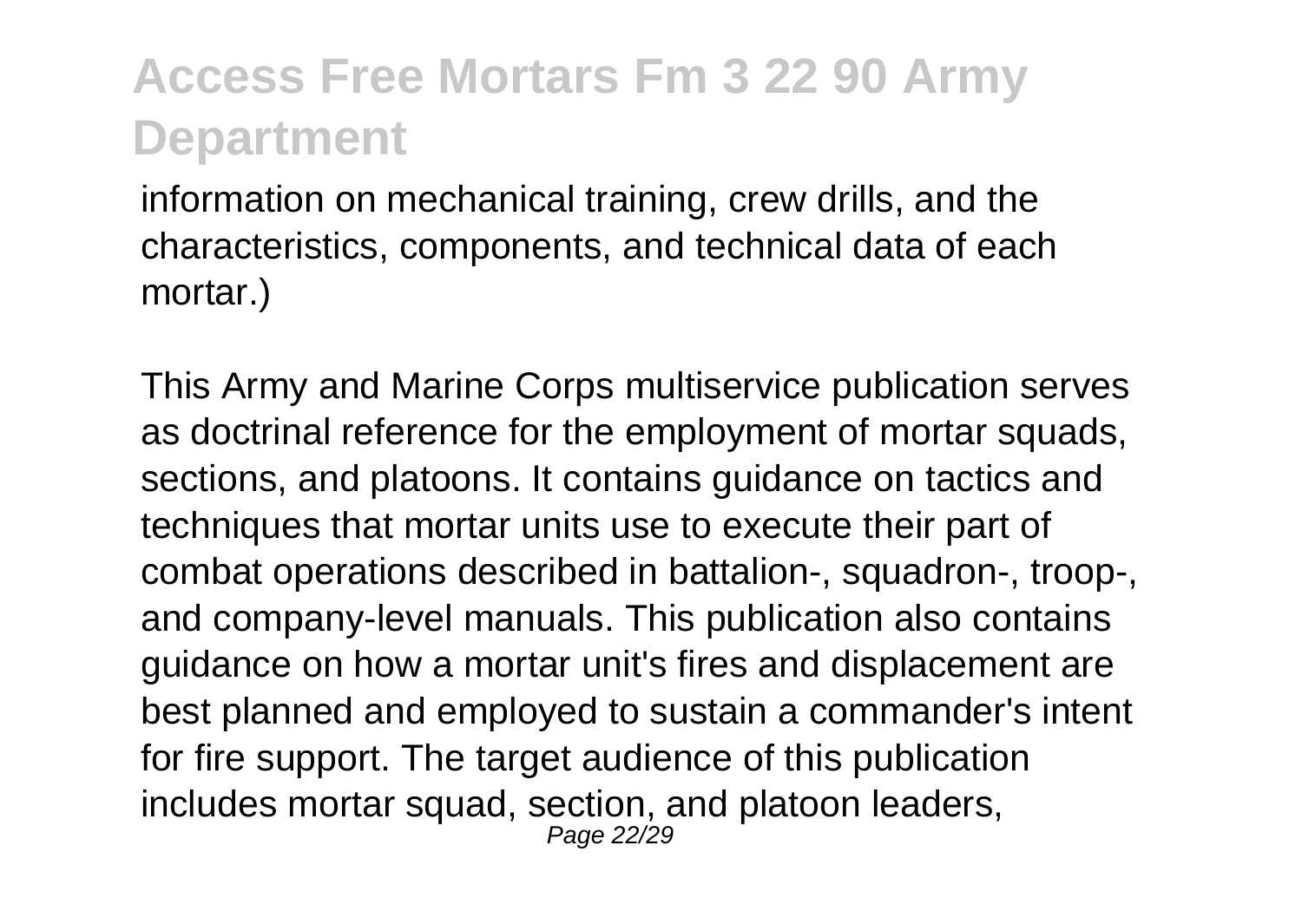information on mechanical training, crew drills, and the characteristics, components, and technical data of each mortar.)

This Army and Marine Corps multiservice publication serves as doctrinal reference for the employment of mortar squads, sections, and platoons. It contains guidance on tactics and techniques that mortar units use to execute their part of combat operations described in battalion-, squadron-, troop-, and company-level manuals. This publication also contains guidance on how a mortar unit's fires and displacement are best planned and employed to sustain a commander's intent for fire support. The target audience of this publication includes mortar squad, section, and platoon leaders, Page 22/29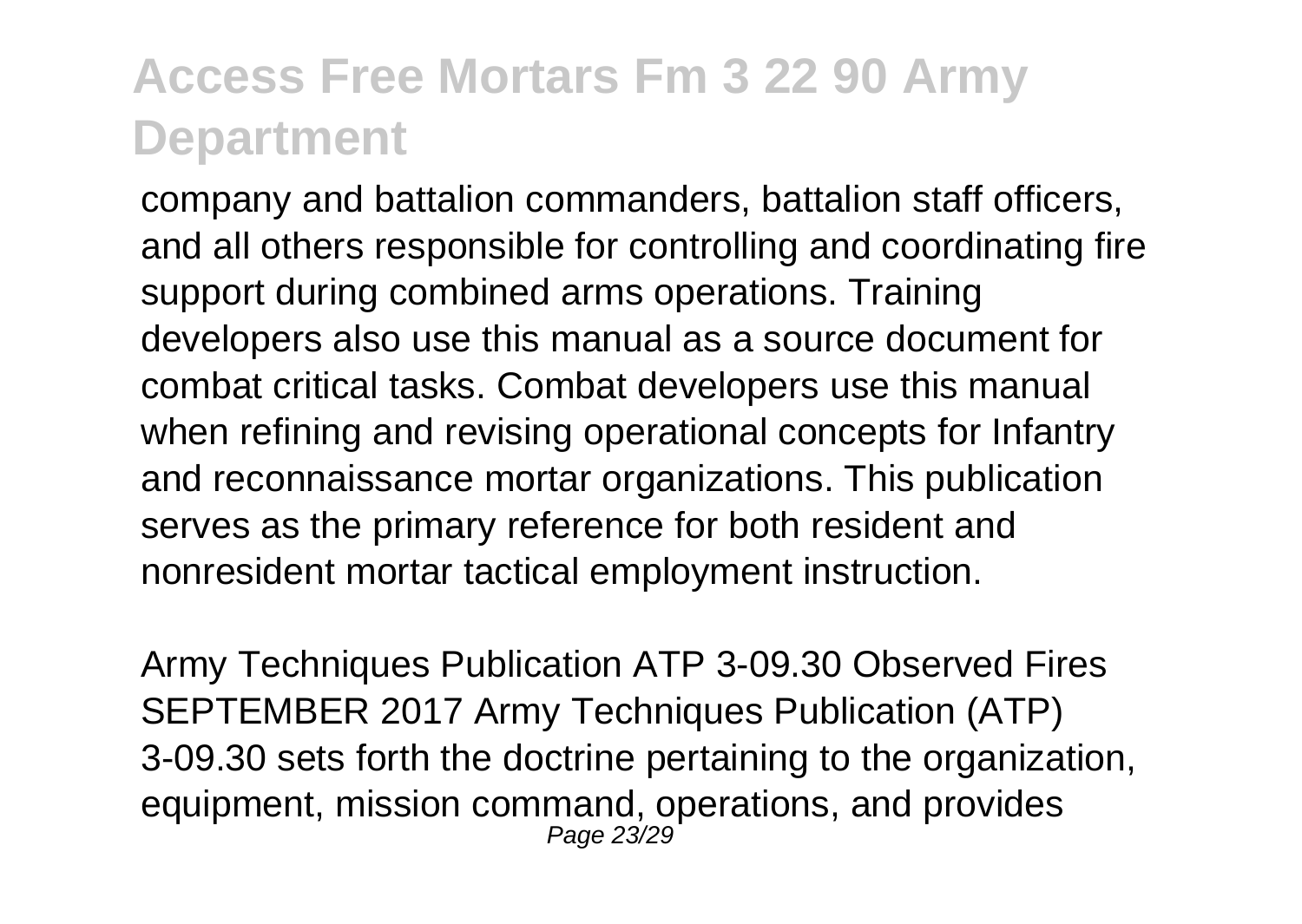company and battalion commanders, battalion staff officers, and all others responsible for controlling and coordinating fire support during combined arms operations. Training developers also use this manual as a source document for combat critical tasks. Combat developers use this manual when refining and revising operational concepts for Infantry and reconnaissance mortar organizations. This publication serves as the primary reference for both resident and nonresident mortar tactical employment instruction.

Army Techniques Publication ATP 3-09.30 Observed Fires SEPTEMBER 2017 Army Techniques Publication (ATP) 3-09.30 sets forth the doctrine pertaining to the organization, equipment, mission command, operations, and provides Page 23/29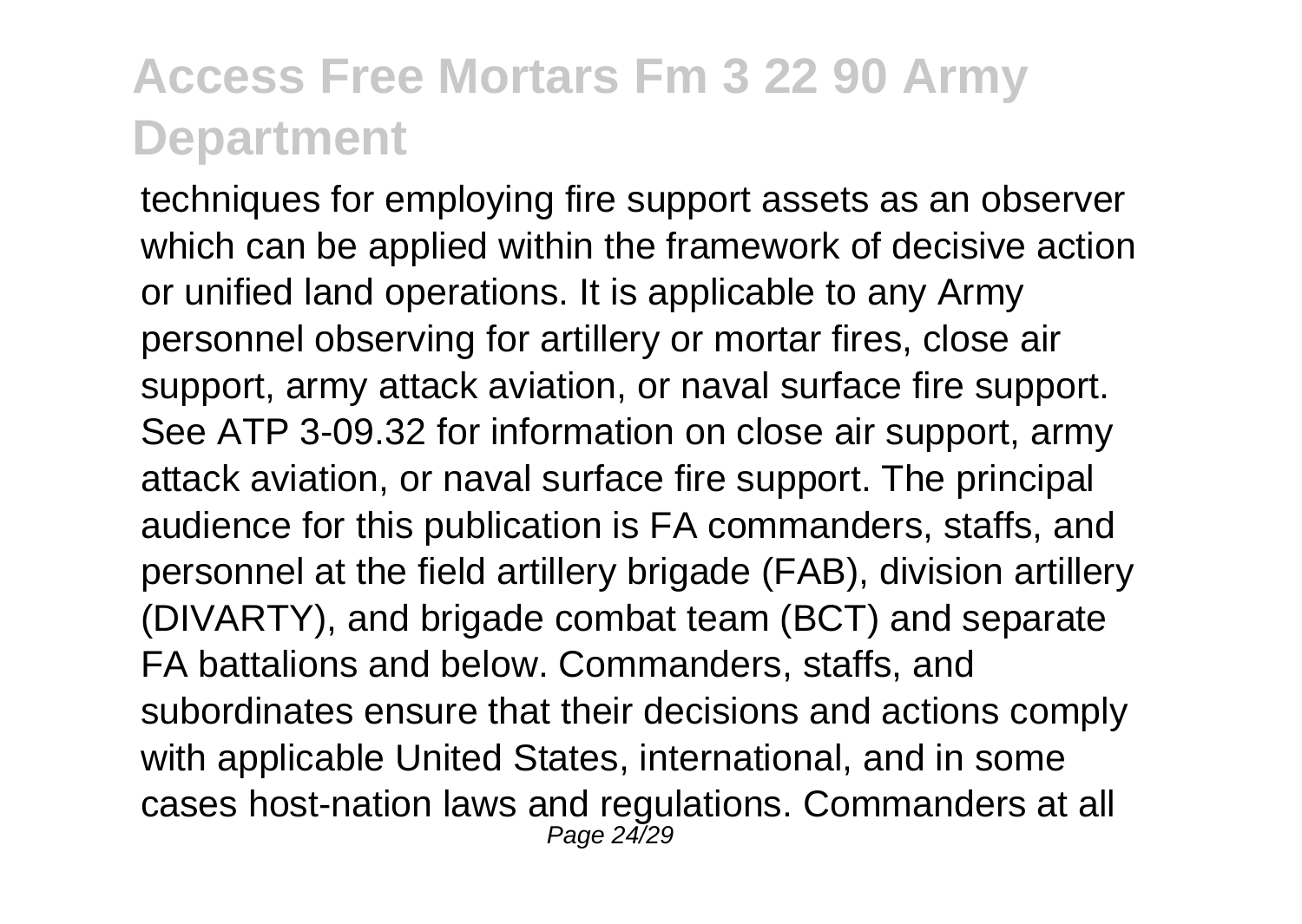techniques for employing fire support assets as an observer which can be applied within the framework of decisive action or unified land operations. It is applicable to any Army personnel observing for artillery or mortar fires, close air support, army attack aviation, or naval surface fire support. See ATP 3-09.32 for information on close air support, army attack aviation, or naval surface fire support. The principal audience for this publication is FA commanders, staffs, and personnel at the field artillery brigade (FAB), division artillery (DIVARTY), and brigade combat team (BCT) and separate FA battalions and below. Commanders, staffs, and subordinates ensure that their decisions and actions comply with applicable United States, international, and in some cases host-nation laws and regulations. Commanders at all Page 24/29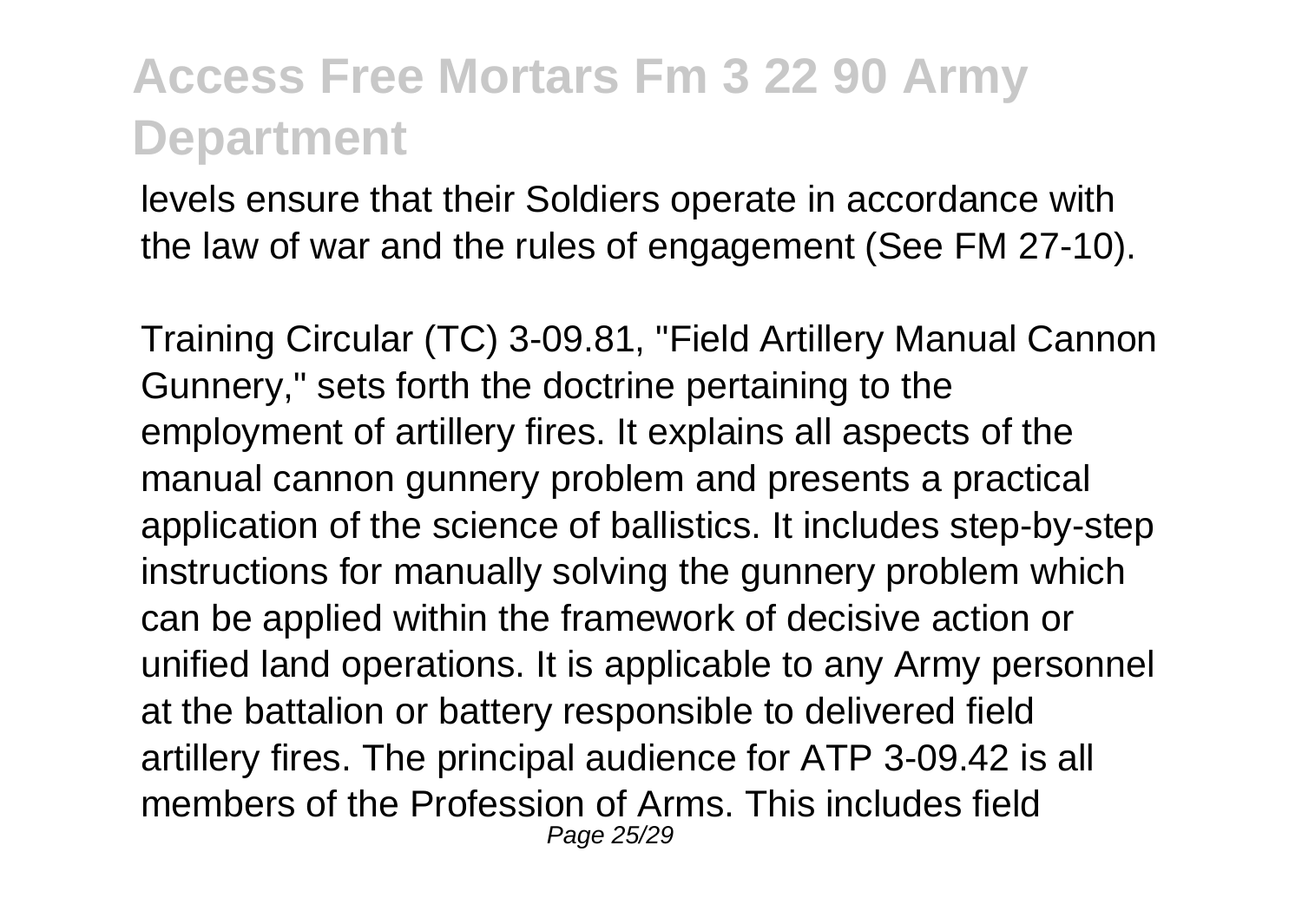levels ensure that their Soldiers operate in accordance with the law of war and the rules of engagement (See FM 27-10).

Training Circular (TC) 3-09.81, "Field Artillery Manual Cannon Gunnery," sets forth the doctrine pertaining to the employment of artillery fires. It explains all aspects of the manual cannon gunnery problem and presents a practical application of the science of ballistics. It includes step-by-step instructions for manually solving the gunnery problem which can be applied within the framework of decisive action or unified land operations. It is applicable to any Army personnel at the battalion or battery responsible to delivered field artillery fires. The principal audience for ATP 3-09.42 is all members of the Profession of Arms. This includes field Page 25/29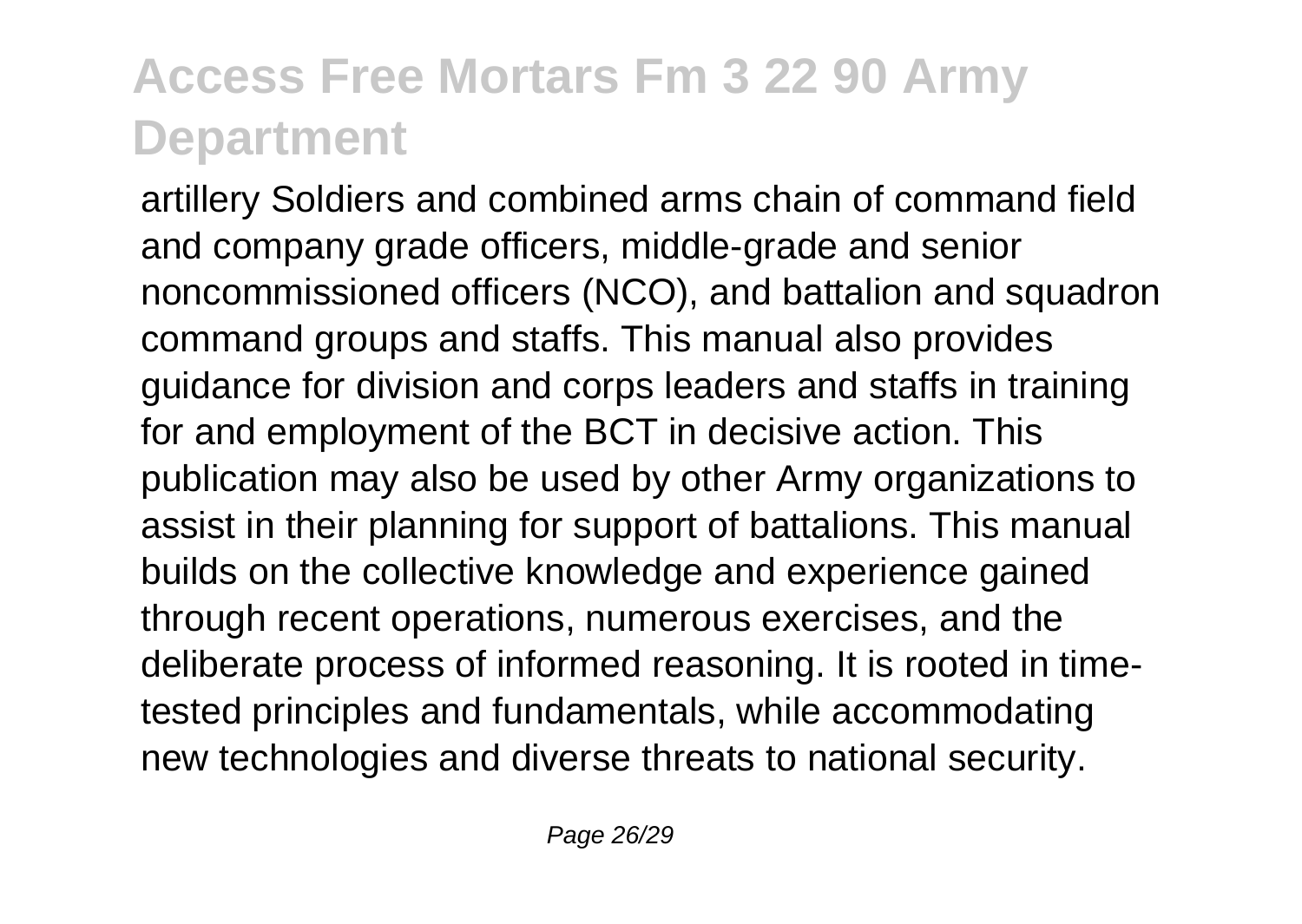artillery Soldiers and combined arms chain of command field and company grade officers, middle-grade and senior noncommissioned officers (NCO), and battalion and squadron command groups and staffs. This manual also provides guidance for division and corps leaders and staffs in training for and employment of the BCT in decisive action. This publication may also be used by other Army organizations to assist in their planning for support of battalions. This manual builds on the collective knowledge and experience gained through recent operations, numerous exercises, and the deliberate process of informed reasoning. It is rooted in timetested principles and fundamentals, while accommodating new technologies and diverse threats to national security.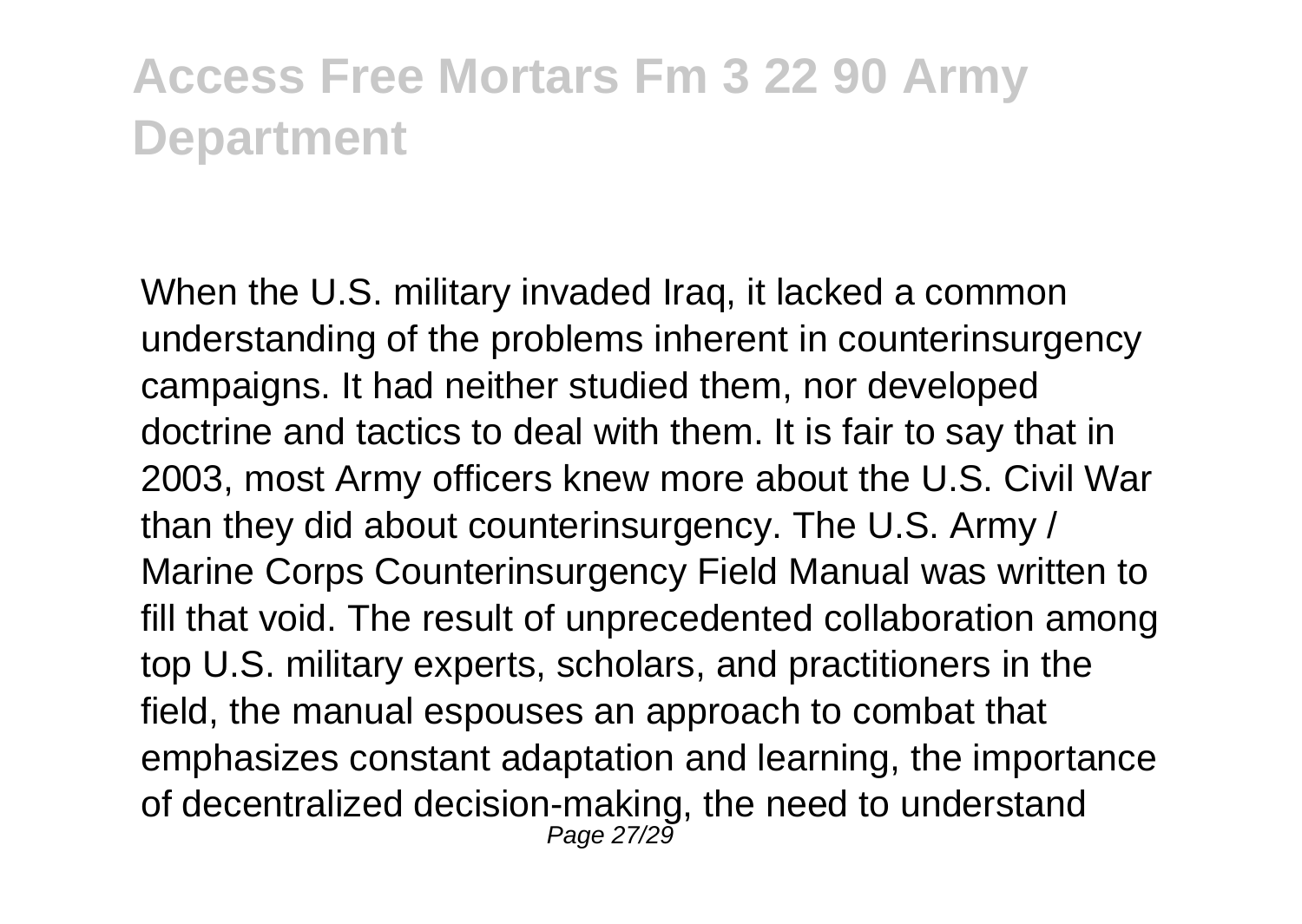When the U.S. military invaded Iraq, it lacked a common understanding of the problems inherent in counterinsurgency campaigns. It had neither studied them, nor developed doctrine and tactics to deal with them. It is fair to say that in 2003, most Army officers knew more about the U.S. Civil War than they did about counterinsurgency. The U.S. Army / Marine Corps Counterinsurgency Field Manual was written to fill that void. The result of unprecedented collaboration among top U.S. military experts, scholars, and practitioners in the field, the manual espouses an approach to combat that emphasizes constant adaptation and learning, the importance of decentralized decision-making, the need to understand Page 27/29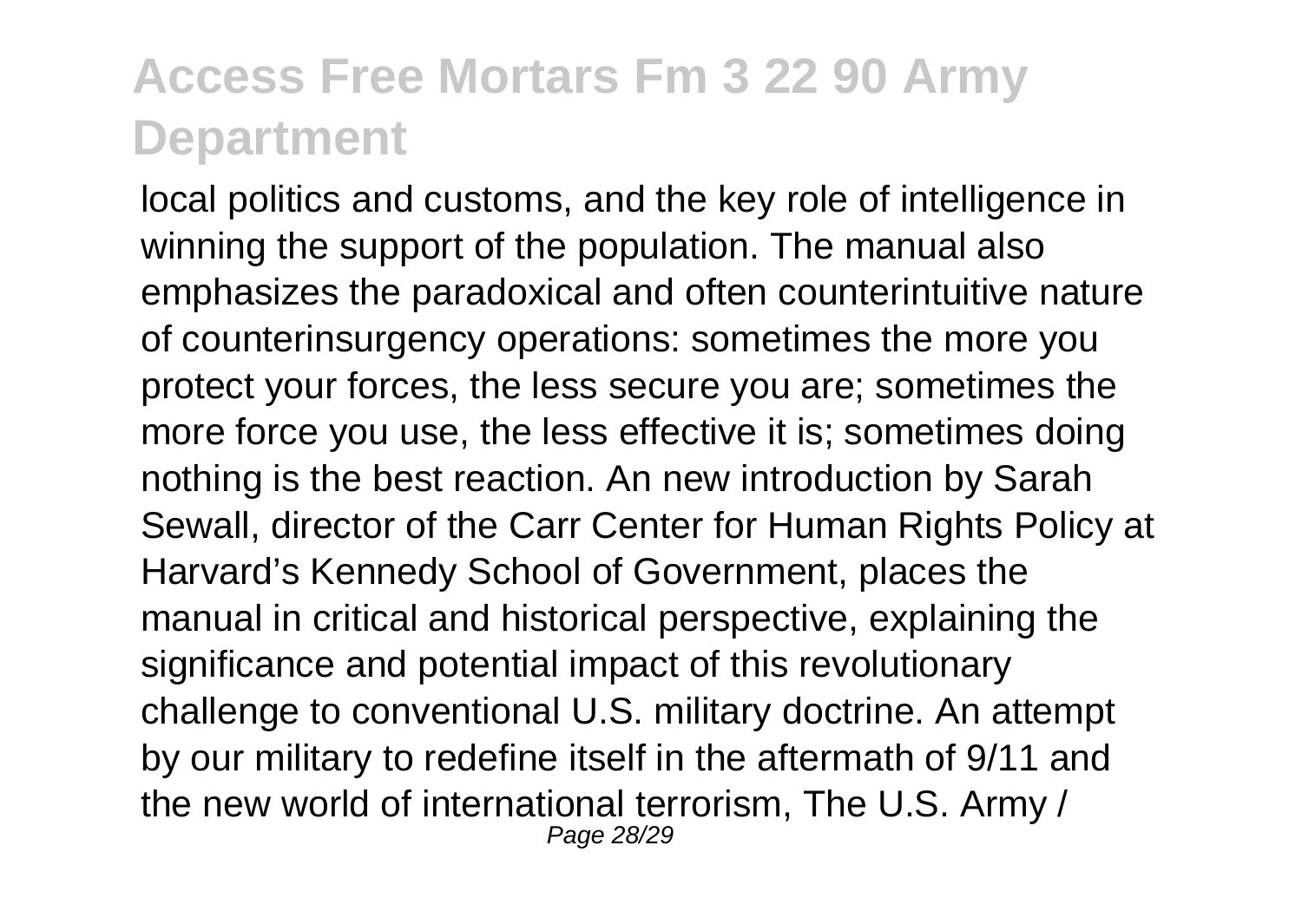local politics and customs, and the key role of intelligence in winning the support of the population. The manual also emphasizes the paradoxical and often counterintuitive nature of counterinsurgency operations: sometimes the more you protect your forces, the less secure you are; sometimes the more force you use, the less effective it is; sometimes doing nothing is the best reaction. An new introduction by Sarah Sewall, director of the Carr Center for Human Rights Policy at Harvard's Kennedy School of Government, places the manual in critical and historical perspective, explaining the significance and potential impact of this revolutionary challenge to conventional U.S. military doctrine. An attempt by our military to redefine itself in the aftermath of 9/11 and the new world of international terrorism, The U.S. Army / Page 28/29